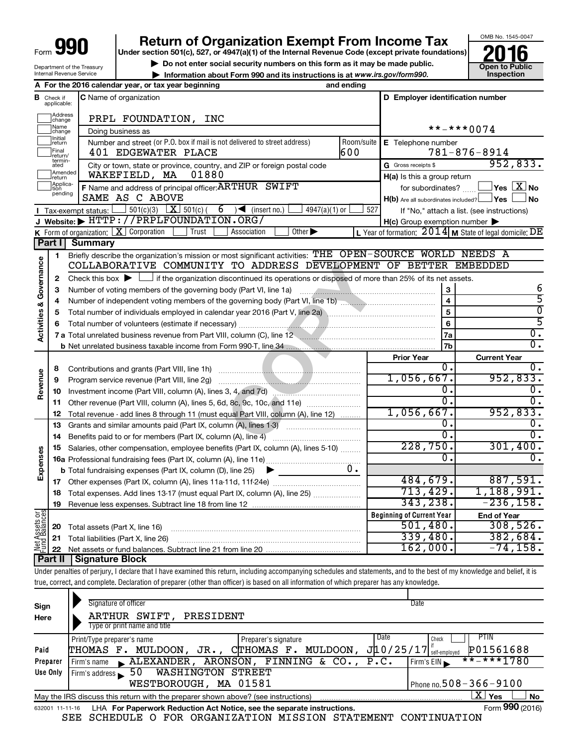| Form | <b>ar</b> |  |
|------|-----------|--|
|      |           |  |

# **Return of Organization Exempt From Income Tax**<br>Under section 501(c), 527, or 4947(a)(1) of the Internal Revenue Code (except private foundations)<br> **2016**

**Under section 501(c), 527, or 4947(a)(1) of the Internal Revenue Code (except private foundations) Example 19 Society of the Internal Revenue Code (except private foundations)**<br> **● Do not enter social security numbers on this form as it may be made public.**<br>
<br> **● Information about Form 990 and its instructions is at w** 

**• Information about Form 990 and its instructions is at www.irs.gov/form990. and inspection** 



Department of the Treasury Internal Revenue Service

|                                              |                                  | A For the 2016 calendar year, or tax year beginning                                                                                                                        | and ending |                                                     |                                                           |
|----------------------------------------------|----------------------------------|----------------------------------------------------------------------------------------------------------------------------------------------------------------------------|------------|-----------------------------------------------------|-----------------------------------------------------------|
|                                              | <b>B</b> Check if<br>applicable: | <b>C</b> Name of organization                                                                                                                                              |            | D Employer identification number                    |                                                           |
|                                              | Address<br> change               | PRPL FOUNDATION, INC                                                                                                                                                       |            |                                                     |                                                           |
|                                              | ]Name<br>]change                 | Doing business as                                                                                                                                                          |            |                                                     | **-***0074                                                |
|                                              | ]Initial<br>]return              | Number and street (or P.O. box if mail is not delivered to street address)                                                                                                 | Room/suite | E Telephone number                                  |                                                           |
|                                              | Final<br> return/                | 401 EDGEWATER PLACE                                                                                                                                                        | 600        |                                                     | $781 - 876 - 8914$                                        |
|                                              | termin-<br>ated                  | City or town, state or province, country, and ZIP or foreign postal code                                                                                                   |            | G Gross receipts \$                                 | 952,833.                                                  |
|                                              | Amended                          | WAKEFIELD, MA<br>01880                                                                                                                                                     |            | H(a) Is this a group return                         |                                                           |
|                                              | Ireturn<br> Applica-<br> tion    | F Name and address of principal officer: ARTHUR SWIFT                                                                                                                      |            | for subordinates?                                   | $\overline{\ }$ Yes $\overline{\phantom{a}X}$ No          |
|                                              | pending                          | SAME AS C ABOVE                                                                                                                                                            |            | $H(b)$ Are all subordinates included? $\Box$ Yes    | No.                                                       |
|                                              |                                  | $501(c)(3)$ $\boxed{\textbf{X}}$ 501(c)(<br>6<br>$\sqrt{\phantom{a}}$ (insert no.)<br>$4947(a)(1)$ or<br>Tax-exempt status:                                                | 527        |                                                     |                                                           |
|                                              |                                  | J Website: FITTP://PRPLFOUNDATION.ORG/                                                                                                                                     |            |                                                     | If "No," attach a list. (see instructions)                |
|                                              |                                  | K Form of organization: $X$ Corporation<br>Other $\blacktriangleright$<br>Trust<br>Association                                                                             |            | $H(c)$ Group exemption number $\blacktriangleright$ |                                                           |
|                                              |                                  |                                                                                                                                                                            |            |                                                     | L Year of formation: $2014$ M State of legal domicile: DE |
|                                              |                                  | Part I Summary                                                                                                                                                             |            |                                                     |                                                           |
|                                              | 1                                | Briefly describe the organization's mission or most significant activities: THE OPEN-SOURCE WORLD NEEDS A                                                                  |            |                                                     |                                                           |
|                                              |                                  | COLLABORATIVE COMMUNITY TO ADDRESS DEVELOPMENT OF BETTER EMBEDDED                                                                                                          |            |                                                     |                                                           |
|                                              | 2                                | Check this box $\blacktriangleright$ $\Box$ if the organization discontinued its operations or disposed of more than 25% of its net assets.                                |            |                                                     |                                                           |
|                                              | 3                                |                                                                                                                                                                            |            | $\bf 3$                                             | 6                                                         |
|                                              | 4                                |                                                                                                                                                                            |            |                                                     | 5                                                         |
|                                              | 5                                |                                                                                                                                                                            |            | 5                                                   | $\overline{0}$                                            |
|                                              |                                  |                                                                                                                                                                            |            | 6                                                   | 5                                                         |
| <b>Activities &amp; Governance</b>           |                                  | 7 a Total unrelated business revenue from Part VIII, column (C), line 12                                                                                                   |            | 7a                                                  | σ.                                                        |
|                                              |                                  |                                                                                                                                                                            |            | 7b                                                  | σ.                                                        |
|                                              |                                  |                                                                                                                                                                            |            | <b>Prior Year</b>                                   | <b>Current Year</b>                                       |
|                                              | 8                                |                                                                                                                                                                            |            | 0.                                                  | υ.                                                        |
|                                              | 9                                |                                                                                                                                                                            |            | 1,056,667.                                          | 952,833.                                                  |
| Revenue                                      | 10                               |                                                                                                                                                                            |            | 0.                                                  |                                                           |
|                                              | 11                               | Other revenue (Part VIII, column (A), lines 5, 6d, 8c, 9c, 10c, and 11e)                                                                                                   |            | $\overline{0}$ .                                    | 0.                                                        |
|                                              | 12                               | Total revenue - add lines 8 through 11 (must equal Part VIII, column (A), line 12)                                                                                         |            | $1,056,667$ .                                       | 952,833.                                                  |
|                                              | 13                               | Grants and similar amounts paid (Part IX, column (A), lines 1-3)                                                                                                           |            | 0.                                                  |                                                           |
|                                              | 14                               |                                                                                                                                                                            |            | 0.                                                  | о.                                                        |
|                                              | 15                               | Salaries, other compensation, employee benefits (Part IX, column (A), lines 5-10)                                                                                          |            | 228,750.                                            | 301,400.                                                  |
| Expenses                                     |                                  |                                                                                                                                                                            |            | 0.                                                  |                                                           |
|                                              |                                  | <b>b</b> Total fundraising expenses (Part IX, column (D), line 25)<br>▶                                                                                                    | υ.         |                                                     |                                                           |
|                                              |                                  |                                                                                                                                                                            |            | 484,679.                                            | 887,591.                                                  |
|                                              | 18                               | Total expenses. Add lines 13-17 (must equal Part IX, column (A), line 25)                                                                                                  |            | 713,429.                                            | 1,188,991.                                                |
|                                              | 19                               | Revenue less expenses. Subtract line 18 from line 12                                                                                                                       |            | 343,238.                                            | $-236,158.$                                               |
|                                              |                                  |                                                                                                                                                                            |            | <b>Beginning of Current Year</b>                    |                                                           |
|                                              |                                  |                                                                                                                                                                            |            | 501,480.                                            | <b>End of Year</b><br>308,526.                            |
|                                              | 20                               | Total assets (Part X, line 16)                                                                                                                                             |            | 339,480.                                            | 382,684.                                                  |
| <b>Net Assets or</b><br><b>Fund Balances</b> | 21                               | Total liabilities (Part X, line 26)                                                                                                                                        |            | 162,000.                                            | $-74,158$ .                                               |
|                                              | 22<br>  Part II                  | <b>Signature Block</b>                                                                                                                                                     |            |                                                     |                                                           |
|                                              |                                  |                                                                                                                                                                            |            |                                                     |                                                           |
|                                              |                                  | Under penalties of perjury, I declare that I have examined this return, including accompanying schedules and statements, and to the best of my knowledge and belief, it is |            |                                                     |                                                           |
|                                              |                                  | true, correct, and complete. Declaration of preparer (other than officer) is based on all information of which preparer has any knowledge.                                 |            |                                                     |                                                           |
|                                              |                                  |                                                                                                                                                                            |            |                                                     |                                                           |

| Sign<br>Here | Signature of officer<br>ARTHUR SWIFT,<br>PRESIDENT                                                           | Date                             |  |  |  |  |  |  |
|--------------|--------------------------------------------------------------------------------------------------------------|----------------------------------|--|--|--|--|--|--|
|              | Type or print name and title                                                                                 |                                  |  |  |  |  |  |  |
|              | Date<br>Print/Type preparer's name<br>Preparer's signature                                                   | PTIN<br>Check                    |  |  |  |  |  |  |
| Paid         | J10/25/17<br>MULDOON,<br>MULDOON,<br>CTHOMAS F.<br>THOMAS F.<br>JR.,                                         | P01561688<br>self-employed       |  |  |  |  |  |  |
| Preparer     | ARONSON,<br>FINNING & CO., P.C.<br>$\blacktriangle$ ALEXANDER,<br>Firm's name                                | $***$ $***$ 1780<br>Firm's $EIN$ |  |  |  |  |  |  |
| Use Only     | <b>WASHINGTON STREET</b><br>50<br>Firm's address                                                             |                                  |  |  |  |  |  |  |
|              | WESTBOROUGH, MA 01581                                                                                        | Phone no.508 – 366 – 9100        |  |  |  |  |  |  |
|              | ΧI<br>Yes<br><b>No</b><br>May the IRS discuss this return with the preparer shown above? (see instructions)  |                                  |  |  |  |  |  |  |
|              | Form 990 (2016)<br>LHA For Paperwork Reduction Act Notice, see the separate instructions.<br>632001 11-11-16 |                                  |  |  |  |  |  |  |

SEE SCHEDULE O FOR ORGANIZATION MISSION STATEMENT CONTINUATION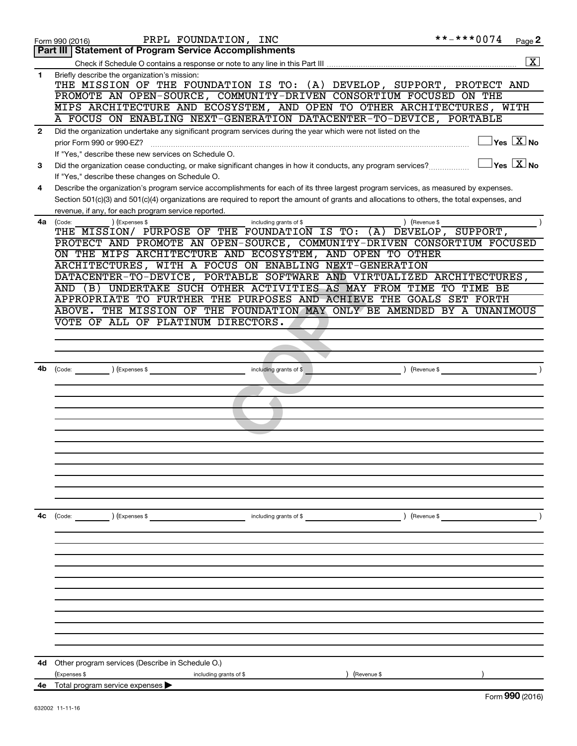|              | PRPL FOUNDATION, INC<br>Form 990 (2016)                                                                                                      | **-***0074                               | Page 2                  |
|--------------|----------------------------------------------------------------------------------------------------------------------------------------------|------------------------------------------|-------------------------|
|              | Part III   Statement of Program Service Accomplishments                                                                                      |                                          |                         |
|              |                                                                                                                                              |                                          | $\overline{\mathbf{x}}$ |
| 1            | Briefly describe the organization's mission:<br>THE MISSION OF THE FOUNDATION IS TO: (A) DEVELOP, SUPPORT, PROTECT AND                       |                                          |                         |
|              | PROMOTE AN OPEN-SOURCE, COMMUNITY-DRIVEN CONSORTIUM FOCUSED ON THE                                                                           |                                          |                         |
|              | MIPS ARCHITECTURE AND ECOSYSTEM, AND OPEN TO OTHER ARCHITECTURES, WITH                                                                       |                                          |                         |
|              | A FOCUS ON ENABLING NEXT-GENERATION DATACENTER-TO-DEVICE, PORTABLE                                                                           |                                          |                         |
| $\mathbf{2}$ | Did the organization undertake any significant program services during the year which were not listed on the                                 |                                          |                         |
|              | prior Form 990 or 990-EZ?                                                                                                                    | $\overline{\mathsf{Yes} \mathbb{X}}$ No  |                         |
|              | If "Yes," describe these new services on Schedule O.                                                                                         |                                          |                         |
| 3            | Did the organization cease conducting, or make significant changes in how it conducts, any program services?                                 | $\sqrt{}$ Yes $\sqrt{}\,\overline{X}$ No |                         |
|              | If "Yes," describe these changes on Schedule O.                                                                                              |                                          |                         |
| 4            | Describe the organization's program service accomplishments for each of its three largest program services, as measured by expenses.         |                                          |                         |
|              | Section 501(c)(3) and 501(c)(4) organizations are required to report the amount of grants and allocations to others, the total expenses, and |                                          |                         |
|              | revenue, if any, for each program service reported.                                                                                          |                                          |                         |
| 4a           | (Expenses \$<br>including grants of \$<br>) (Revenue \$<br>(Code:<br>THE MISSION/ PURPOSE OF THE FOUNDATION IS TO: (A) DEVELOP, SUPPORT,     |                                          |                         |
|              | PROTECT AND PROMOTE AN OPEN-SOURCE, COMMUNITY-DRIVEN CONSORTIUM FOCUSED                                                                      |                                          |                         |
|              | ON THE MIPS ARCHITECTURE AND ECOSYSTEM, AND OPEN TO OTHER                                                                                    |                                          |                         |
|              | ARCHITECTURES, WITH A FOCUS ON ENABLING NEXT-GENERATION                                                                                      |                                          |                         |
|              | DATACENTER-TO-DEVICE, PORTABLE SOFTWARE AND VIRTUALIZED ARCHITECTURES,                                                                       |                                          |                         |
|              | UNDERTAKE SUCH OTHER ACTIVITIES AS MAY FROM TIME TO TIME BE<br>AND (B)                                                                       |                                          |                         |
|              | APPROPRIATE TO FURTHER THE PURPOSES AND ACHIEVE THE GOALS SET FORTH                                                                          |                                          |                         |
|              | THE MISSION OF THE FOUNDATION MAY ONLY BE AMENDED BY A UNANIMOUS<br>ABOVE.                                                                   |                                          |                         |
|              | VOTE OF ALL OF PLATINUM DIRECTORS.                                                                                                           |                                          |                         |
|              |                                                                                                                                              |                                          |                         |
|              |                                                                                                                                              |                                          |                         |
|              |                                                                                                                                              |                                          |                         |
|              | (Expenses \$<br>including grants of \$<br>(Code:                                                                                             | Revenue \$                               |                         |
|              |                                                                                                                                              |                                          |                         |
|              |                                                                                                                                              |                                          |                         |
|              |                                                                                                                                              |                                          |                         |
|              |                                                                                                                                              |                                          |                         |
|              |                                                                                                                                              |                                          |                         |
|              |                                                                                                                                              |                                          |                         |
|              |                                                                                                                                              |                                          |                         |
|              |                                                                                                                                              |                                          |                         |
|              |                                                                                                                                              |                                          |                         |
|              |                                                                                                                                              |                                          |                         |
|              |                                                                                                                                              |                                          |                         |
| 4c           | ) (Expenses \$<br>(Code:<br>including grants of \$                                                                                           | ) (Revenue \$                            |                         |
|              |                                                                                                                                              |                                          |                         |
|              |                                                                                                                                              |                                          |                         |
|              |                                                                                                                                              |                                          |                         |
|              |                                                                                                                                              |                                          |                         |
|              |                                                                                                                                              |                                          |                         |
|              |                                                                                                                                              |                                          |                         |
|              |                                                                                                                                              |                                          |                         |
|              |                                                                                                                                              |                                          |                         |
|              |                                                                                                                                              |                                          |                         |
|              |                                                                                                                                              |                                          |                         |
|              |                                                                                                                                              |                                          |                         |
| 4d           | Other program services (Describe in Schedule O.)                                                                                             |                                          |                         |
| 4e           | (Expenses \$<br>(Revenue \$<br>including grants of \$<br>Total program service expenses                                                      |                                          |                         |
|              |                                                                                                                                              | Form 990 (2016)                          |                         |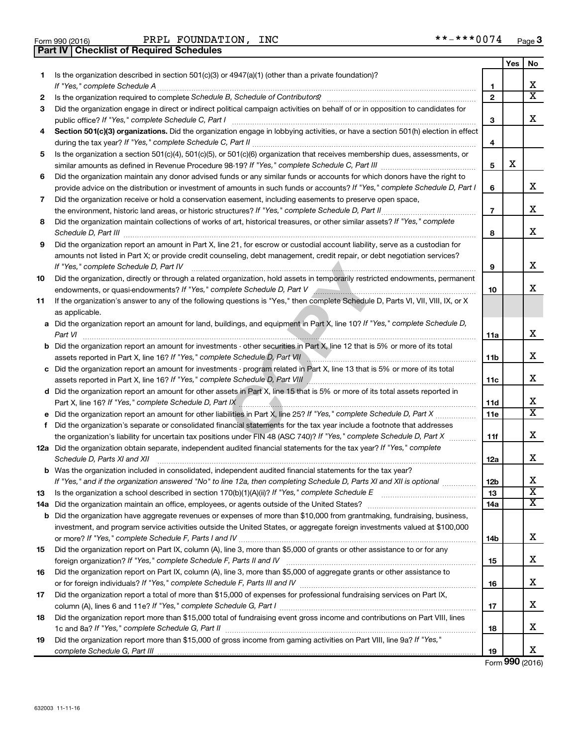| Form 990 (2016) |                                                | PRPL FOUNDAT |
|-----------------|------------------------------------------------|--------------|
|                 | <b>Part IV Checklist of Required Schedules</b> |              |

Form 990 (2016) PRPL FOUNDATION, INC \*\*-\*\*\*0074 <sub>Page</sub>

|    |                                                                                                                                                         |                     | Yes | No                         |
|----|---------------------------------------------------------------------------------------------------------------------------------------------------------|---------------------|-----|----------------------------|
| 1  | Is the organization described in section 501(c)(3) or 4947(a)(1) (other than a private foundation)?<br>If "Yes," complete Schedule A                    |                     |     | х                          |
| 2  |                                                                                                                                                         | 1<br>$\overline{2}$ |     | X                          |
| 3  | Did the organization engage in direct or indirect political campaign activities on behalf of or in opposition to candidates for                         |                     |     |                            |
|    | public office? If "Yes," complete Schedule C, Part I                                                                                                    | 3                   |     | x                          |
| 4  | Section 501(c)(3) organizations. Did the organization engage in lobbying activities, or have a section 501(h) election in effect                        | 4                   |     |                            |
| 5  | Is the organization a section 501(c)(4), 501(c)(5), or 501(c)(6) organization that receives membership dues, assessments, or                            |                     |     |                            |
|    |                                                                                                                                                         | 5                   | х   |                            |
| 6  | Did the organization maintain any donor advised funds or any similar funds or accounts for which donors have the right to                               |                     |     |                            |
|    | provide advice on the distribution or investment of amounts in such funds or accounts? If "Yes," complete Schedule D, Part I                            | 6                   |     | x                          |
| 7  | Did the organization receive or hold a conservation easement, including easements to preserve open space,                                               |                     |     |                            |
|    | the environment, historic land areas, or historic structures? If "Yes," complete Schedule D, Part II                                                    | $\overline{7}$      |     | x                          |
| 8  | Did the organization maintain collections of works of art, historical treasures, or other similar assets? If "Yes," complete<br>Schedule D, Part III    | 8                   |     | x                          |
| 9  | Did the organization report an amount in Part X, line 21, for escrow or custodial account liability, serve as a custodian for                           |                     |     |                            |
|    | amounts not listed in Part X; or provide credit counseling, debt management, credit repair, or debt negotiation services?                               |                     |     |                            |
|    | If "Yes," complete Schedule D, Part IV                                                                                                                  | 9                   |     | x                          |
| 10 | Did the organization, directly or through a related organization, hold assets in temporarily restricted endowments, permanent                           |                     |     |                            |
|    |                                                                                                                                                         | 10                  |     | x                          |
| 11 | If the organization's answer to any of the following questions is "Yes," then complete Schedule D, Parts VI, VII, VIII, IX, or X                        |                     |     |                            |
|    | as applicable.                                                                                                                                          |                     |     |                            |
|    | a Did the organization report an amount for land, buildings, and equipment in Part X, line 10? If "Yes," complete Schedule D,<br>Part VI                | 11a                 |     | x                          |
|    | <b>b</b> Did the organization report an amount for investments - other securities in Part X, line 12 that is 5% or more of its total                    |                     |     |                            |
|    | assets reported in Part X, line 16? If "Yes," complete Schedule D, Part VII                                                                             | 11b                 |     | x                          |
|    | c Did the organization report an amount for investments - program related in Part X, line 13 that is 5% or more of its total                            |                     |     |                            |
|    | assets reported in Part X, line 16? If "Yes," complete Schedule D, Part VIII                                                                            | 11c                 |     | х                          |
|    | d Did the organization report an amount for other assets in Part X, line 15 that is 5% or more of its total assets reported in                          |                     |     |                            |
|    | Part X, line 16? If "Yes," complete Schedule D, Part IX                                                                                                 | 11d                 |     | х<br>$\overline{\text{X}}$ |
|    | <b>e</b> Did the organization report an amount for other liabilities in Part X, line 25? If "Yes," complete Schedule D, Part X                          | 11e                 |     |                            |
| f. | Did the organization's separate or consolidated financial statements for the tax year include a footnote that addresses                                 |                     |     | x                          |
|    | the organization's liability for uncertain tax positions under FIN 48 (ASC 740)? If "Yes," complete Schedule D, Part X                                  | 11f                 |     |                            |
|    | 12a Did the organization obtain separate, independent audited financial statements for the tax year? If "Yes," complete<br>Schedule D, Parts XI and XII | 12a                 |     | x                          |
|    | <b>b</b> Was the organization included in consolidated, independent audited financial statements for the tax year?                                      |                     |     |                            |
|    | If "Yes," and if the organization answered "No" to line 12a, then completing Schedule D, Parts XI and XII is optional                                   | 12 <sub>b</sub>     |     | X                          |
| 13 | Is the organization a school described in section $170(b)(1)(A)(ii)$ ? If "Yes," complete Schedule E                                                    | 13                  |     | $\overline{\textbf{X}}$    |
|    | 14a Did the organization maintain an office, employees, or agents outside of the United States?                                                         | 14a                 |     | х                          |
|    | <b>b</b> Did the organization have aggregate revenues or expenses of more than \$10,000 from grantmaking, fundraising, business,                        |                     |     |                            |
|    | investment, and program service activities outside the United States, or aggregate foreign investments valued at \$100,000                              |                     |     |                            |
|    |                                                                                                                                                         | 14b                 |     | х                          |
| 15 | Did the organization report on Part IX, column (A), line 3, more than \$5,000 of grants or other assistance to or for any                               |                     |     |                            |
|    |                                                                                                                                                         | 15                  |     | х                          |
| 16 | Did the organization report on Part IX, column (A), line 3, more than \$5,000 of aggregate grants or other assistance to                                | 16                  |     | х                          |
| 17 | Did the organization report a total of more than \$15,000 of expenses for professional fundraising services on Part IX,                                 |                     |     |                            |
|    |                                                                                                                                                         | 17                  |     | х                          |
| 18 | Did the organization report more than \$15,000 total of fundraising event gross income and contributions on Part VIII, lines                            |                     |     |                            |
|    |                                                                                                                                                         | 18                  |     | х                          |
| 19 | Did the organization report more than \$15,000 of gross income from gaming activities on Part VIII, line 9a? If "Yes,"                                  |                     |     | x                          |
|    |                                                                                                                                                         | 19                  |     |                            |

Form (2016) **990**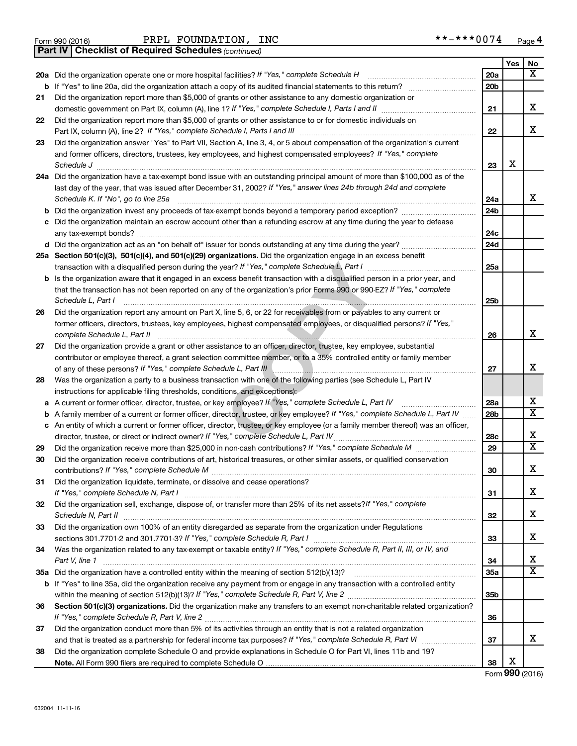**Part IV Checklist of Required Schedules**

Form 990 (2016) Page PRPL FOUNDATION, INC \*\*-\*\*\*0074

*(continued)*

|    |                                                                                                                                                                                                                                      |                 | Yes | No                           |
|----|--------------------------------------------------------------------------------------------------------------------------------------------------------------------------------------------------------------------------------------|-----------------|-----|------------------------------|
|    | 20a Did the organization operate one or more hospital facilities? If "Yes," complete Schedule H                                                                                                                                      | 20a             |     | $\overline{\texttt{X}}$      |
| b  | If "Yes" to line 20a, did the organization attach a copy of its audited financial statements to this return?                                                                                                                         | 20 <sub>b</sub> |     |                              |
| 21 | Did the organization report more than \$5,000 of grants or other assistance to any domestic organization or                                                                                                                          |                 |     |                              |
|    |                                                                                                                                                                                                                                      | 21              |     | X                            |
| 22 | Did the organization report more than \$5,000 of grants or other assistance to or for domestic individuals on                                                                                                                        | 22              |     | x                            |
| 23 | Did the organization answer "Yes" to Part VII, Section A, line 3, 4, or 5 about compensation of the organization's current                                                                                                           |                 |     |                              |
|    | and former officers, directors, trustees, key employees, and highest compensated employees? If "Yes," complete                                                                                                                       |                 |     |                              |
|    | Schedule J <b>Martin Communication Contract Contract Contract Contract Contract Contract Contract Contract Contract Contract Contract Contract Contract Contract Contract Contract Contract Contract Contract Contract Contract </b> | 23              | x   |                              |
|    | 24a Did the organization have a tax-exempt bond issue with an outstanding principal amount of more than \$100,000 as of the                                                                                                          |                 |     |                              |
|    | last day of the year, that was issued after December 31, 2002? If "Yes," answer lines 24b through 24d and complete                                                                                                                   |                 |     |                              |
|    | Schedule K. If "No", go to line 25a                                                                                                                                                                                                  | 24a             |     | x                            |
| b  | Did the organization invest any proceeds of tax-exempt bonds beyond a temporary period exception?                                                                                                                                    | 24b             |     |                              |
|    | Did the organization maintain an escrow account other than a refunding escrow at any time during the year to defease                                                                                                                 |                 |     |                              |
|    |                                                                                                                                                                                                                                      | 24c             |     |                              |
|    |                                                                                                                                                                                                                                      | 24d             |     |                              |
|    | 25a Section 501(c)(3), 501(c)(4), and 501(c)(29) organizations. Did the organization engage in an excess benefit                                                                                                                     |                 |     |                              |
|    |                                                                                                                                                                                                                                      | 25a             |     |                              |
| b  | Is the organization aware that it engaged in an excess benefit transaction with a disqualified person in a prior year, and                                                                                                           |                 |     |                              |
|    | that the transaction has not been reported on any of the organization's prior Forms 990 or 990-EZ? If "Yes," complete                                                                                                                |                 |     |                              |
|    | Schedule L, Part I                                                                                                                                                                                                                   | 25b             |     |                              |
| 26 | Did the organization report any amount on Part X, line 5, 6, or 22 for receivables from or payables to any current or                                                                                                                |                 |     |                              |
|    | former officers, directors, trustees, key employees, highest compensated employees, or disqualified persons? If "Yes,"<br>complete Schedule L, Part II                                                                               | 26              |     | х                            |
| 27 | Did the organization provide a grant or other assistance to an officer, director, trustee, key employee, substantial                                                                                                                 |                 |     |                              |
|    | contributor or employee thereof, a grant selection committee member, or to a 35% controlled entity or family member                                                                                                                  |                 |     |                              |
|    | of any of these persons? If "Yes," complete Schedule L, Part III                                                                                                                                                                     | 27              |     | X                            |
| 28 | Was the organization a party to a business transaction with one of the following parties (see Schedule L, Part IV                                                                                                                    |                 |     |                              |
|    | instructions for applicable filing thresholds, conditions, and exceptions):                                                                                                                                                          |                 |     |                              |
| а  | A current or former officer, director, trustee, or key employee? If "Yes," complete Schedule L, Part IV                                                                                                                              | 28a             |     | x<br>$\overline{\mathtt{x}}$ |
| b  | A family member of a current or former officer, director, trustee, or key employee? If "Yes," complete Schedule L, Part IV                                                                                                           | 28b             |     |                              |
|    | c An entity of which a current or former officer, director, trustee, or key employee (or a family member thereof) was an officer,                                                                                                    |                 |     | X                            |
| 29 | director, trustee, or direct or indirect owner? If "Yes," complete Schedule L, Part IV                                                                                                                                               | 28c<br>29       |     | $\overline{\mathbf{x}}$      |
| 30 | Did the organization receive contributions of art, historical treasures, or other similar assets, or qualified conservation                                                                                                          |                 |     |                              |
|    |                                                                                                                                                                                                                                      | 30              |     | X                            |
| 31 | Did the organization liquidate, terminate, or dissolve and cease operations?                                                                                                                                                         |                 |     |                              |
|    | If "Yes," complete Schedule N, Part I                                                                                                                                                                                                | 31              |     | X                            |
| 32 | Did the organization sell, exchange, dispose of, or transfer more than 25% of its net assets? If "Yes," complete                                                                                                                     |                 |     |                              |
|    | Schedule N, Part II <b>Marken Commission Commission Commission</b> Commission Commission Commission                                                                                                                                  | 32              |     | X                            |
| 33 | Did the organization own 100% of an entity disregarded as separate from the organization under Regulations                                                                                                                           |                 |     |                              |
|    |                                                                                                                                                                                                                                      | 33              |     | X                            |
| 34 | Was the organization related to any tax-exempt or taxable entity? If "Yes," complete Schedule R, Part II, III, or IV, and                                                                                                            |                 |     |                              |
|    | Part V, line 1                                                                                                                                                                                                                       | 34              |     | х                            |
|    |                                                                                                                                                                                                                                      | 35a             |     | $\overline{\texttt{x}}$      |
|    | b If "Yes" to line 35a, did the organization receive any payment from or engage in any transaction with a controlled entity                                                                                                          |                 |     |                              |
|    |                                                                                                                                                                                                                                      | 35b             |     |                              |
| 36 | Section 501(c)(3) organizations. Did the organization make any transfers to an exempt non-charitable related organization?                                                                                                           |                 |     |                              |
|    | Did the organization conduct more than 5% of its activities through an entity that is not a related organization                                                                                                                     | 36              |     |                              |
| 37 |                                                                                                                                                                                                                                      | 37              |     | x                            |
| 38 | Did the organization complete Schedule O and provide explanations in Schedule O for Part VI, lines 11b and 19?                                                                                                                       |                 |     |                              |
|    |                                                                                                                                                                                                                                      | 38              | X   |                              |
|    |                                                                                                                                                                                                                                      |                 |     |                              |

Form (2016) **990**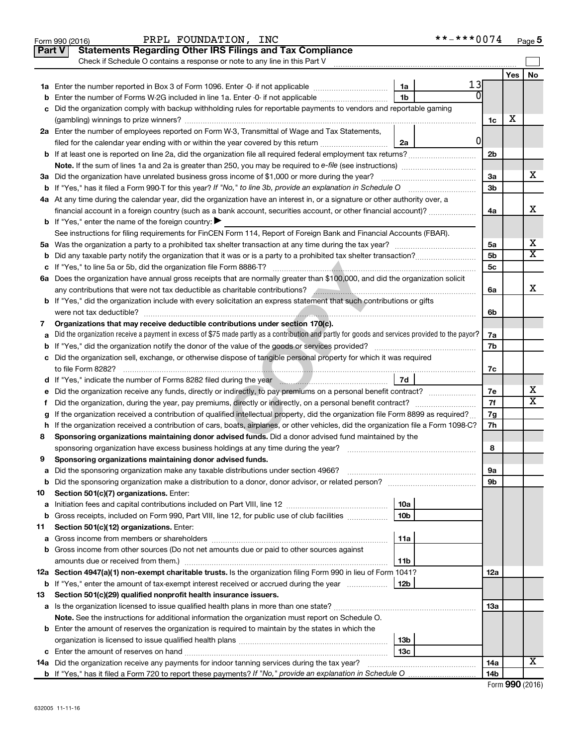|        | **-***0074<br>PRPL FOUNDATION, INC<br>Form 990 (2016)                                                                                                                                                              |                |     | Page 5                  |
|--------|--------------------------------------------------------------------------------------------------------------------------------------------------------------------------------------------------------------------|----------------|-----|-------------------------|
|        | <b>Statements Regarding Other IRS Filings and Tax Compliance</b><br><b>Part V</b>                                                                                                                                  |                |     |                         |
|        | Check if Schedule O contains a response or note to any line in this Part V                                                                                                                                         |                |     |                         |
|        |                                                                                                                                                                                                                    |                | Yes | No                      |
|        | 13<br>1a<br>$\overline{0}$                                                                                                                                                                                         |                |     |                         |
| b      | 1 <sub>b</sub><br>Enter the number of Forms W-2G included in line 1a. Enter -0- if not applicable                                                                                                                  |                |     |                         |
| c      | Did the organization comply with backup withholding rules for reportable payments to vendors and reportable gaming                                                                                                 |                |     |                         |
|        |                                                                                                                                                                                                                    | 1c             | х   |                         |
|        | 2a Enter the number of employees reported on Form W-3, Transmittal of Wage and Tax Statements,<br>0l                                                                                                               |                |     |                         |
|        | filed for the calendar year ending with or within the year covered by this return<br>2a                                                                                                                            |                |     |                         |
|        |                                                                                                                                                                                                                    | 2 <sub>b</sub> |     |                         |
|        |                                                                                                                                                                                                                    | 3a             |     | х                       |
|        | 3a Did the organization have unrelated business gross income of \$1,000 or more during the year?<br>b If "Yes," has it filed a Form 990-T for this year? If "No," to line 3b, provide an explanation in Schedule O | 3b             |     |                         |
|        | 4a At any time during the calendar year, did the organization have an interest in, or a signature or other authority over, a                                                                                       |                |     |                         |
|        | financial account in a foreign country (such as a bank account, securities account, or other financial account)?                                                                                                   | 4a             |     | x                       |
|        | <b>b</b> If "Yes," enter the name of the foreign country: $\blacktriangleright$                                                                                                                                    |                |     |                         |
|        | See instructions for filing requirements for FinCEN Form 114, Report of Foreign Bank and Financial Accounts (FBAR).                                                                                                |                |     |                         |
|        |                                                                                                                                                                                                                    | 5a             |     | х                       |
|        | <b>b</b> Did any taxable party notify the organization that it was or is a party to a prohibited tax shelter transaction?                                                                                          | 5b             |     | $\overline{\texttt{x}}$ |
|        |                                                                                                                                                                                                                    | 5c             |     |                         |
|        | 6a Does the organization have annual gross receipts that are normally greater than \$100,000, and did the organization solicit                                                                                     |                |     |                         |
|        | any contributions that were not tax deductible as charitable contributions? And an annumeration of that were not                                                                                                   | 6a             |     | x                       |
|        | <b>b</b> If "Yes," did the organization include with every solicitation an express statement that such contributions or gifts                                                                                      |                |     |                         |
|        |                                                                                                                                                                                                                    | 6b             |     |                         |
| 7      | Organizations that may receive deductible contributions under section 170(c).                                                                                                                                      |                |     |                         |
| a      | Did the organization receive a payment in excess of \$75 made partly as a contribution and partly for goods and services provided to the payor?                                                                    | 7a             |     |                         |
|        |                                                                                                                                                                                                                    | 7b             |     |                         |
|        | c Did the organization sell, exchange, or otherwise dispose of tangible personal property for which it was required                                                                                                |                |     |                         |
|        |                                                                                                                                                                                                                    | 7c             |     |                         |
|        | d If "Yes," indicate the number of Forms 8282 filed during the year <b>contract to the State of Tage 17d</b>                                                                                                       |                |     |                         |
| е      | Did the organization receive any funds, directly or indirectly, to pay premiums on a personal benefit contract?                                                                                                    | 7e             |     | х                       |
| f.     | Did the organization, during the year, pay premiums, directly or indirectly, on a personal benefit contract?                                                                                                       | 7f             |     | $\overline{\texttt{x}}$ |
|        | If the organization received a contribution of qualified intellectual property, did the organization file Form 8899 as required?                                                                                   | 7g             |     |                         |
|        | h If the organization received a contribution of cars, boats, airplanes, or other vehicles, did the organization file a Form 1098-C?                                                                               | 7h             |     |                         |
| 8      | Sponsoring organizations maintaining donor advised funds. Did a donor advised fund maintained by the                                                                                                               |                |     |                         |
|        |                                                                                                                                                                                                                    | 8              |     |                         |
|        | Sponsoring organizations maintaining donor advised funds.                                                                                                                                                          |                |     |                         |
| а      |                                                                                                                                                                                                                    | 9а             |     |                         |
| b      |                                                                                                                                                                                                                    | 9b             |     |                         |
| 10     | Section 501(c)(7) organizations. Enter:                                                                                                                                                                            |                |     |                         |
| а<br>b | 10a<br>10 <sub>b</sub><br>Gross receipts, included on Form 990, Part VIII, line 12, for public use of club facilities                                                                                              |                |     |                         |
| 11     | Section 501(c)(12) organizations. Enter:                                                                                                                                                                           |                |     |                         |
| а      | 11a                                                                                                                                                                                                                |                |     |                         |
| b      | Gross income from other sources (Do not net amounts due or paid to other sources against                                                                                                                           |                |     |                         |
|        | amounts due or received from them.)<br>11b                                                                                                                                                                         |                |     |                         |
|        | 12a Section 4947(a)(1) non-exempt charitable trusts. Is the organization filing Form 990 in lieu of Form 1041?                                                                                                     | 12a            |     |                         |
|        | <b>b</b> If "Yes," enter the amount of tax-exempt interest received or accrued during the year<br>  12b                                                                                                            |                |     |                         |
| 13     | Section 501(c)(29) qualified nonprofit health insurance issuers.                                                                                                                                                   |                |     |                         |
|        |                                                                                                                                                                                                                    | 1За            |     |                         |
|        | Note. See the instructions for additional information the organization must report on Schedule O.                                                                                                                  |                |     |                         |
|        | <b>b</b> Enter the amount of reserves the organization is required to maintain by the states in which the                                                                                                          |                |     |                         |
|        | 13b                                                                                                                                                                                                                |                |     |                         |
|        | 13 <sub>c</sub>                                                                                                                                                                                                    |                |     |                         |
|        | 14a Did the organization receive any payments for indoor tanning services during the tax year?                                                                                                                     | 14a            |     | X                       |
|        |                                                                                                                                                                                                                    | 14b            |     |                         |

| Form 990 (2016) |  |  |
|-----------------|--|--|
|-----------------|--|--|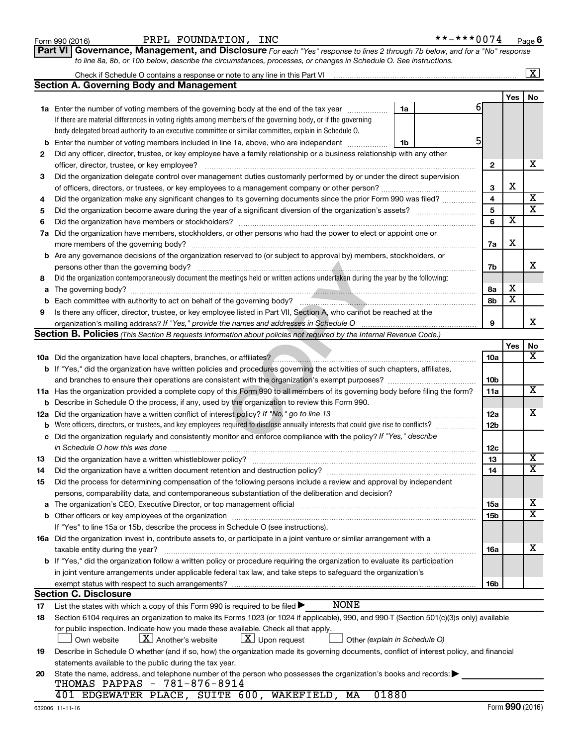| Form 990 (2016) |  |
|-----------------|--|
|-----------------|--|

#### Form 990 (2016) PRPL FOUNDATION, INC \*\*-\*\*\*0074 <sub>Page</sub>

| **-***0074 | Page 6 |
|------------|--------|
|------------|--------|

**Part VI** Governance, Management, and Disclosure For each "Yes" response to lines 2 through 7b below, and for a "No" response *to line 8a, 8b, or 10b below, describe the circumstances, processes, or changes in Schedule O. See instructions.*

|     |                                                                                                                                                |                              |                         | $\overline{\mathbf{x}}$      |
|-----|------------------------------------------------------------------------------------------------------------------------------------------------|------------------------------|-------------------------|------------------------------|
|     | <b>Section A. Governing Body and Management</b>                                                                                                |                              |                         |                              |
|     |                                                                                                                                                |                              | Yes                     | <b>No</b>                    |
|     | 1a<br>1a Enter the number of voting members of the governing body at the end of the tax year                                                   | 61                           |                         |                              |
|     | If there are material differences in voting rights among members of the governing body, or if the governing                                    |                              |                         |                              |
|     | body delegated broad authority to an executive committee or similar committee, explain in Schedule O.                                          |                              |                         |                              |
| b   | Enter the number of voting members included in line 1a, above, who are independent<br>1b                                                       | 5                            |                         |                              |
| 2   | Did any officer, director, trustee, or key employee have a family relationship or a business relationship with any other                       |                              |                         |                              |
|     | officer, director, trustee, or key employee?                                                                                                   | $\mathbf{2}$                 |                         | x                            |
| 3   | Did the organization delegate control over management duties customarily performed by or under the direct supervision                          |                              |                         |                              |
|     |                                                                                                                                                | 3                            | X                       | $\overline{\mathbf{X}}$      |
| 4   | Did the organization make any significant changes to its governing documents since the prior Form 990 was filed?                               | $\overline{\mathbf{4}}$      |                         | $\overline{\mathbf{x}}$      |
| 5   |                                                                                                                                                | $\overline{\mathbf{5}}$<br>6 | $\overline{\textbf{x}}$ |                              |
| 6   |                                                                                                                                                |                              |                         |                              |
|     | 7a Did the organization have members, stockholders, or other persons who had the power to elect or appoint one or                              | 7a                           | X                       |                              |
|     | <b>b</b> Are any governance decisions of the organization reserved to (or subject to approval by) members, stockholders, or                    |                              |                         |                              |
|     | persons other than the governing body?                                                                                                         | 7b                           |                         | x                            |
| 8   | Did the organization contemporaneously document the meetings held or written actions undertaken during the year by the following:              |                              |                         |                              |
|     |                                                                                                                                                | 8а                           | x                       |                              |
| b   | Each committee with authority to act on behalf of the governing body?<br>Fach committee with authority to act on behalf of the governing body? | 8b                           | $\overline{\mathbf{x}}$ |                              |
| 9   | Is there any officer, director, trustee, or key employee listed in Part VII, Section A, who cannot be reached at the                           |                              |                         |                              |
|     | organization's mailing address? If "Yes," provide the names and addresses in Schedule O                                                        | 9                            |                         | x                            |
|     | <b>Section B. Policies</b> (This Section B requests information about policies not required by the Internal Revenue Code.)                     |                              |                         |                              |
|     |                                                                                                                                                |                              | Yes                     | No                           |
|     |                                                                                                                                                | 10a                          |                         | X                            |
|     | b If "Yes," did the organization have written policies and procedures governing the activities of such chapters, affiliates,                   |                              |                         |                              |
|     |                                                                                                                                                | 10b                          |                         |                              |
|     | 11a Has the organization provided a complete copy of this Form 990 to all members of its governing body before filing the form?                | 11a                          |                         | X                            |
| b   | Describe in Schedule O the process, if any, used by the organization to review this Form 990.                                                  |                              |                         |                              |
| 12a | Did the organization have a written conflict of interest policy? If "No," go to line 13                                                        | 12a                          |                         | X.                           |
| b   | Were officers, directors, or trustees, and key employees required to disclose annually interests that could give rise to conflicts?            | 12b                          |                         |                              |
| c   | Did the organization regularly and consistently monitor and enforce compliance with the policy? If "Yes," describe                             |                              |                         |                              |
|     | in Schedule O how this was done                                                                                                                | 12c                          |                         |                              |
| 13  |                                                                                                                                                | 13                           |                         | X<br>$\overline{\mathtt{x}}$ |
| 14  | Did the organization have a written document retention and destruction policy? [11] manufaction manufaction in                                 | 14                           |                         |                              |
| 15  | Did the process for determining compensation of the following persons include a review and approval by independent                             |                              |                         |                              |
|     | persons, comparability data, and contemporaneous substantiation of the deliberation and decision?                                              |                              |                         |                              |
|     |                                                                                                                                                | 15a                          |                         | x<br>$\overline{\text{x}}$   |
|     | If "Yes" to line 15a or 15b, describe the process in Schedule O (see instructions).                                                            | 15b                          |                         |                              |
|     | 16a Did the organization invest in, contribute assets to, or participate in a joint venture or similar arrangement with a                      |                              |                         |                              |
|     | taxable entity during the year?                                                                                                                | 16a                          |                         | x                            |
|     | b If "Yes," did the organization follow a written policy or procedure requiring the organization to evaluate its participation                 |                              |                         |                              |
|     | in joint venture arrangements under applicable federal tax law, and take steps to safeguard the organization's                                 |                              |                         |                              |
|     | exempt status with respect to such arrangements?                                                                                               | 16b                          |                         |                              |
|     | <b>Section C. Disclosure</b>                                                                                                                   |                              |                         |                              |
| 17  | <b>NONE</b><br>List the states with which a copy of this Form 990 is required to be filed >                                                    |                              |                         |                              |
| 18  | Section 6104 requires an organization to make its Forms 1023 (or 1024 if applicable), 990, and 990-T (Section 501(c)(3)s only) available       |                              |                         |                              |
|     | for public inspection. Indicate how you made these available. Check all that apply.                                                            |                              |                         |                              |
|     | $\lfloor x \rfloor$ Upon request<br>$\lfloor X \rfloor$ Another's website<br>Other (explain in Schedule O)<br>Own website                      |                              |                         |                              |
| 19  | Describe in Schedule O whether (and if so, how) the organization made its governing documents, conflict of interest policy, and financial      |                              |                         |                              |
|     | statements available to the public during the tax year.                                                                                        |                              |                         |                              |
| 20  | State the name, address, and telephone number of the person who possesses the organization's books and records:                                |                              |                         |                              |
|     | THOMAS PAPPAS - 781-876-8914                                                                                                                   |                              |                         |                              |
|     | 401 EDGEWATER PLACE, SUITE 600, WAKEFIELD, MA<br>01880                                                                                         |                              |                         |                              |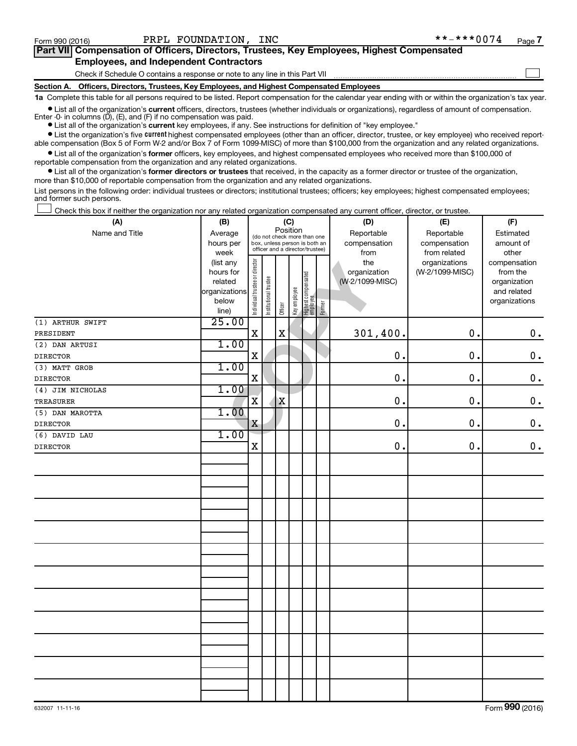$\Box$ 

| Part VII Compensation of Officers, Directors, Trustees, Key Employees, Highest Compensated |
|--------------------------------------------------------------------------------------------|
| <b>Employees, and Independent Contractors</b>                                              |

Check if Schedule O contains a response or note to any line in this Part VII

**Section A. Officers, Directors, Trustees, Key Employees, and Highest Compensated Employees**

**1a**  Complete this table for all persons required to be listed. Report compensation for the calendar year ending with or within the organization's tax year.

**•** List all of the organization's current officers, directors, trustees (whether individuals or organizations), regardless of amount of compensation. Enter -0- in columns  $(D)$ ,  $(E)$ , and  $(F)$  if no compensation was paid.

**•** List all of the organization's **current** key employees, if any. See instructions for definition of "key employee."

**•** List the organization's five current highest compensated employees (other than an officer, director, trustee, or key employee) who received reportable compensation (Box 5 of Form W-2 and/or Box 7 of Form 1099-MISC) of more than \$100,000 from the organization and any related organizations.

**•** List all of the organization's former officers, key employees, and highest compensated employees who received more than \$100,000 of reportable compensation from the organization and any related organizations.

**•** List all of the organization's former directors or trustees that received, in the capacity as a former director or trustee of the organization, more than \$10,000 of reportable compensation from the organization and any related organizations.

List persons in the following order: individual trustees or directors; institutional trustees; officers; key employees; highest compensated employees; and former such persons.

Check this box if neither the organization nor any related organization compensated any current officer, director, or trustee.  $\Box$ 

| (A)              | (B)           | (C)                                     |                       |             |                                 |                                  |              | (D)             | (E)             | (F)           |
|------------------|---------------|-----------------------------------------|-----------------------|-------------|---------------------------------|----------------------------------|--------------|-----------------|-----------------|---------------|
| Name and Title   | Average       | Position<br>(do not check more than one |                       |             |                                 |                                  |              | Reportable      | Reportable      | Estimated     |
|                  | hours per     | box, unless person is both an           |                       |             |                                 |                                  | compensation | compensation    | amount of       |               |
|                  | week          |                                         |                       |             | officer and a director/trustee) |                                  |              | from            | from related    | other         |
|                  | (list any     |                                         |                       |             |                                 |                                  |              | the             | organizations   | compensation  |
|                  | hours for     |                                         |                       |             |                                 |                                  |              | organization    | (W-2/1099-MISC) | from the      |
|                  | related       |                                         |                       |             |                                 |                                  |              | (W-2/1099-MISC) |                 | organization  |
|                  | organizations |                                         |                       |             |                                 |                                  |              |                 |                 | and related   |
|                  | below         | Individual trustee or director          | Institutional trustee | Officer     | Key employee                    | Highest compensated<br> employee | Former       |                 |                 | organizations |
|                  | line)         |                                         |                       |             |                                 |                                  |              |                 |                 |               |
| (1) ARTHUR SWIFT | 25.00         |                                         |                       |             |                                 |                                  |              |                 |                 |               |
| PRESIDENT        |               | $\mathbf X$                             |                       | $\mathbf x$ |                                 |                                  |              | 301,400.        | 0.              | $\mathbf 0$ . |
| (2) DAN ARTUSI   | 1.00          |                                         |                       |             |                                 |                                  |              |                 |                 |               |
| <b>DIRECTOR</b>  |               | $\mathbf X$                             |                       |             |                                 |                                  |              | 0.              | 0.              | $\mathbf 0$ . |
| (3) MATT GROB    | 1.00          |                                         |                       |             |                                 |                                  |              |                 |                 |               |
| <b>DIRECTOR</b>  |               | $\mathbf X$                             |                       |             |                                 |                                  |              | 0.              | 0.              | $\mathbf 0$ . |
| (4) JIM NICHOLAS | 1.00          |                                         |                       |             |                                 |                                  |              |                 |                 |               |
| TREASURER        |               | $\overline{\mathbf{X}}$                 |                       | $\mathbf X$ |                                 |                                  |              | 0.              | 0.              | $\mathbf 0$ . |
| (5) DAN MAROTTA  | 1.00          |                                         |                       |             |                                 |                                  |              |                 |                 |               |
| <b>DIRECTOR</b>  |               | $\mathbf X$                             |                       |             |                                 |                                  |              | 0.              | $\mathbf 0$ .   | $\mathbf 0$ . |
| (6) DAVID LAU    | 1.00          |                                         |                       |             |                                 |                                  |              |                 |                 |               |
| <b>DIRECTOR</b>  |               | $\mathbf X$                             |                       |             |                                 |                                  |              | 0.              | 0.              | $\mathbf 0$ . |
|                  |               |                                         |                       |             |                                 |                                  |              |                 |                 |               |
|                  |               |                                         |                       |             |                                 |                                  |              |                 |                 |               |
|                  |               |                                         |                       |             |                                 |                                  |              |                 |                 |               |
|                  |               |                                         |                       |             |                                 |                                  |              |                 |                 |               |
|                  |               |                                         |                       |             |                                 |                                  |              |                 |                 |               |
|                  |               |                                         |                       |             |                                 |                                  |              |                 |                 |               |
|                  |               |                                         |                       |             |                                 |                                  |              |                 |                 |               |
|                  |               |                                         |                       |             |                                 |                                  |              |                 |                 |               |
|                  |               |                                         |                       |             |                                 |                                  |              |                 |                 |               |
|                  |               |                                         |                       |             |                                 |                                  |              |                 |                 |               |
|                  |               |                                         |                       |             |                                 |                                  |              |                 |                 |               |
|                  |               |                                         |                       |             |                                 |                                  |              |                 |                 |               |
|                  |               |                                         |                       |             |                                 |                                  |              |                 |                 |               |
|                  |               |                                         |                       |             |                                 |                                  |              |                 |                 |               |
|                  |               |                                         |                       |             |                                 |                                  |              |                 |                 |               |
|                  |               |                                         |                       |             |                                 |                                  |              |                 |                 |               |
|                  |               |                                         |                       |             |                                 |                                  |              |                 |                 |               |
|                  |               |                                         |                       |             |                                 |                                  |              |                 |                 |               |
|                  |               |                                         |                       |             |                                 |                                  |              |                 |                 |               |
|                  |               |                                         |                       |             |                                 |                                  |              |                 |                 |               |
|                  |               |                                         |                       |             |                                 |                                  |              |                 |                 |               |
|                  |               |                                         |                       |             |                                 |                                  |              |                 |                 |               |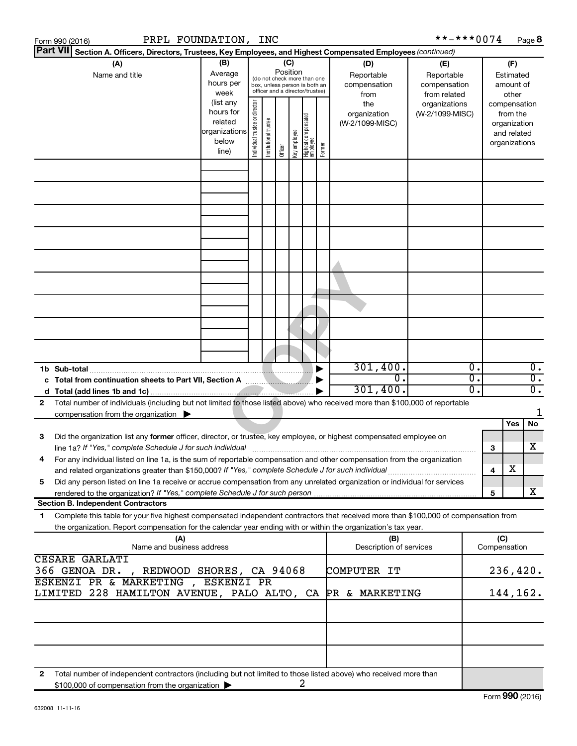| PRPL FOUNDATION, INC<br>Form 990 (2016)                                                                                                                                                                                              |                                                                                                                                                                                                                                                                                                              |  |  |                 |  |                                                              |                                   | **-***0074                        |                                                                          |                     |                                        | Page 8                               |
|--------------------------------------------------------------------------------------------------------------------------------------------------------------------------------------------------------------------------------------|--------------------------------------------------------------------------------------------------------------------------------------------------------------------------------------------------------------------------------------------------------------------------------------------------------------|--|--|-----------------|--|--------------------------------------------------------------|-----------------------------------|-----------------------------------|--------------------------------------------------------------------------|---------------------|----------------------------------------|--------------------------------------|
| <b>Part VII</b><br>Section A. Officers, Directors, Trustees, Key Employees, and Highest Compensated Employees (continued)                                                                                                            |                                                                                                                                                                                                                                                                                                              |  |  |                 |  |                                                              |                                   |                                   |                                                                          |                     |                                        |                                      |
| (A)<br>Name and title                                                                                                                                                                                                                | (B)<br>Average<br>hours per<br>week                                                                                                                                                                                                                                                                          |  |  | (C)<br>Position |  | (do not check more than one<br>box, unless person is both an | (D)<br>Reportable<br>compensation | (E)<br>Reportable<br>compensation |                                                                          |                     | (F)<br>Estimated<br>amount of<br>other |                                      |
|                                                                                                                                                                                                                                      | officer and a director/trustee)<br>from related<br>from<br>(list any<br>Individual trustee or director<br>the<br>hours for<br>organization<br>Highest compensatec<br>employee<br>Institutional trustee<br>related<br>(W-2/1099-MISC)<br>organizations<br>Key employee<br>below<br>Former<br>Officer<br>line) |  |  |                 |  | organizations<br>(W-2/1099-MISC)                             |                                   |                                   | compensation<br>from the<br>organization<br>and related<br>organizations |                     |                                        |                                      |
|                                                                                                                                                                                                                                      |                                                                                                                                                                                                                                                                                                              |  |  |                 |  |                                                              |                                   |                                   |                                                                          |                     |                                        |                                      |
|                                                                                                                                                                                                                                      |                                                                                                                                                                                                                                                                                                              |  |  |                 |  |                                                              |                                   |                                   |                                                                          |                     |                                        |                                      |
|                                                                                                                                                                                                                                      |                                                                                                                                                                                                                                                                                                              |  |  |                 |  |                                                              |                                   |                                   |                                                                          |                     |                                        |                                      |
|                                                                                                                                                                                                                                      |                                                                                                                                                                                                                                                                                                              |  |  |                 |  |                                                              |                                   |                                   |                                                                          |                     |                                        |                                      |
|                                                                                                                                                                                                                                      |                                                                                                                                                                                                                                                                                                              |  |  |                 |  |                                                              |                                   |                                   |                                                                          |                     |                                        |                                      |
|                                                                                                                                                                                                                                      |                                                                                                                                                                                                                                                                                                              |  |  |                 |  |                                                              |                                   |                                   |                                                                          |                     |                                        |                                      |
| 1b Sub-total                                                                                                                                                                                                                         |                                                                                                                                                                                                                                                                                                              |  |  |                 |  |                                                              | 301,400.                          |                                   | $\overline{0}$ .                                                         |                     |                                        | $0$ .                                |
| c Total from continuation sheets to Part VII, Section A <b>Contract Contract Property</b>                                                                                                                                            |                                                                                                                                                                                                                                                                                                              |  |  |                 |  |                                                              | 0.<br>301,400.                    |                                   | $\overline{0}$ .<br>σ.                                                   |                     |                                        | $\overline{0}$ .<br>$\overline{0}$ . |
| Total number of individuals (including but not limited to those listed above) who received more than \$100,000 of reportable<br>2<br>compensation from the organization $\blacktriangleright$                                        |                                                                                                                                                                                                                                                                                                              |  |  |                 |  |                                                              |                                   |                                   |                                                                          |                     |                                        |                                      |
| Did the organization list any former officer, director, or trustee, key employee, or highest compensated employee on<br>3<br>line 1a? If "Yes," complete Schedule J for such individual                                              |                                                                                                                                                                                                                                                                                                              |  |  |                 |  |                                                              |                                   |                                   |                                                                          | З                   | Yes                                    | No<br>x                              |
| For any individual listed on line 1a, is the sum of reportable compensation and other compensation from the organization<br>4<br>and related organizations greater than \$150,000? If "Yes," complete Schedule J for such individual |                                                                                                                                                                                                                                                                                                              |  |  |                 |  |                                                              |                                   |                                   |                                                                          | 4                   | х                                      |                                      |
| Did any person listed on line 1a receive or accrue compensation from any unrelated organization or individual for services<br>5<br><b>Section B. Independent Contractors</b>                                                         |                                                                                                                                                                                                                                                                                                              |  |  |                 |  |                                                              |                                   |                                   |                                                                          | 5                   |                                        | x                                    |
| Complete this table for your five highest compensated independent contractors that received more than \$100,000 of compensation from<br>1.                                                                                           |                                                                                                                                                                                                                                                                                                              |  |  |                 |  |                                                              |                                   |                                   |                                                                          |                     |                                        |                                      |
| the organization. Report compensation for the calendar year ending with or within the organization's tax year.<br>(A)<br>Name and business address                                                                                   |                                                                                                                                                                                                                                                                                                              |  |  |                 |  |                                                              | (B)<br>Description of services    |                                   |                                                                          | (C)<br>Compensation |                                        |                                      |
| <b>CESARE GARLATI</b><br>COMPUTER IT<br>366 GENOA DR.<br>, REDWOOD SHORES, CA 94068                                                                                                                                                  |                                                                                                                                                                                                                                                                                                              |  |  |                 |  |                                                              |                                   | 236,420.                          |                                                                          |                     |                                        |                                      |
| ESKENZI PR & MARKETING , ESKENZI PR<br>LIMITED 228 HAMILTON AVENUE, PALO ALTO, CA PR & MARKETING                                                                                                                                     |                                                                                                                                                                                                                                                                                                              |  |  |                 |  |                                                              |                                   |                                   |                                                                          |                     | 144,162.                               |                                      |
|                                                                                                                                                                                                                                      |                                                                                                                                                                                                                                                                                                              |  |  |                 |  |                                                              |                                   |                                   |                                                                          |                     |                                        |                                      |
| Total number of independent contractors (including but not limited to those listed above) who received more than<br>2                                                                                                                |                                                                                                                                                                                                                                                                                                              |  |  |                 |  |                                                              |                                   |                                   |                                                                          |                     |                                        |                                      |
| \$100,000 of compensation from the organization >                                                                                                                                                                                    |                                                                                                                                                                                                                                                                                                              |  |  |                 |  | 2                                                            |                                   |                                   |                                                                          |                     |                                        |                                      |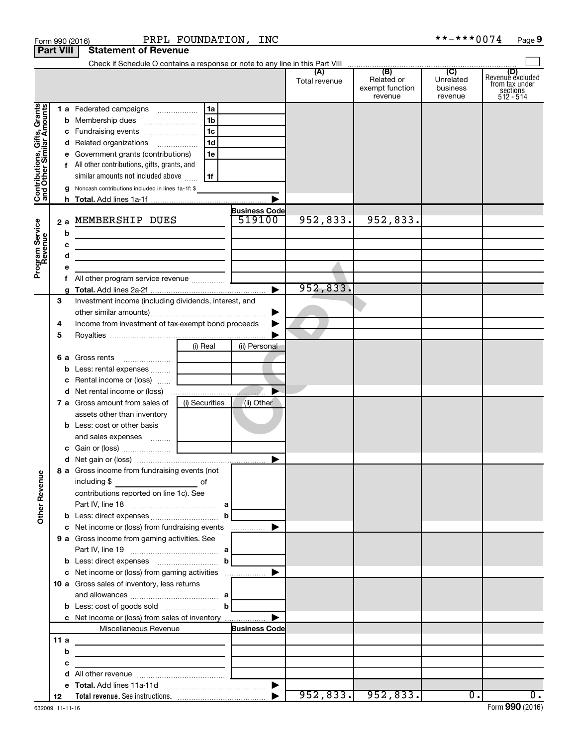|                                                           | <b>Part VIII</b> | <b>Statement of Revenue</b>                                                                                                                               |                |                       |                      |                                                                       |                                                    |                                                               |
|-----------------------------------------------------------|------------------|-----------------------------------------------------------------------------------------------------------------------------------------------------------|----------------|-----------------------|----------------------|-----------------------------------------------------------------------|----------------------------------------------------|---------------------------------------------------------------|
|                                                           |                  |                                                                                                                                                           |                |                       |                      |                                                                       |                                                    |                                                               |
|                                                           |                  |                                                                                                                                                           |                |                       | (A)<br>Total revenue | $\overline{(\mathsf{B})}$<br>Related or<br>exempt function<br>revenue | $\overline{C}$<br>Unrelated<br>business<br>revenue | Revenue excluded<br>from tax under<br>sections<br>$512 - 514$ |
|                                                           |                  | 1 a Federated campaigns                                                                                                                                   | 1a             |                       |                      |                                                                       |                                                    |                                                               |
| Contributions, Gifts, Grants<br>and Other Similar Amounts | b                |                                                                                                                                                           | 1 <sub>b</sub> |                       |                      |                                                                       |                                                    |                                                               |
|                                                           | c                | Fundraising events                                                                                                                                        | 1 <sub>c</sub> |                       |                      |                                                                       |                                                    |                                                               |
|                                                           | d                | Related organizations                                                                                                                                     | 1 <sub>d</sub> |                       |                      |                                                                       |                                                    |                                                               |
|                                                           | е                | Government grants (contributions)                                                                                                                         | 1e             |                       |                      |                                                                       |                                                    |                                                               |
|                                                           |                  | All other contributions, gifts, grants, and                                                                                                               |                |                       |                      |                                                                       |                                                    |                                                               |
|                                                           |                  | similar amounts not included above                                                                                                                        | 1f             |                       |                      |                                                                       |                                                    |                                                               |
|                                                           | g                | Noncash contributions included in lines 1a-1f: \$                                                                                                         |                |                       |                      |                                                                       |                                                    |                                                               |
|                                                           |                  |                                                                                                                                                           |                |                       |                      |                                                                       |                                                    |                                                               |
|                                                           |                  |                                                                                                                                                           |                | <b>Business Code</b>  |                      |                                                                       |                                                    |                                                               |
|                                                           | 2a               | MEMBERSHIP DUES                                                                                                                                           |                | 519100                | 952,833.             | 952,833.                                                              |                                                    |                                                               |
| Program Service<br>Revenue                                | b                |                                                                                                                                                           |                |                       |                      |                                                                       |                                                    |                                                               |
|                                                           | с                | <u> 1989 - Johann Barbara, martxa alemaniar a</u>                                                                                                         |                |                       |                      |                                                                       |                                                    |                                                               |
|                                                           | d                | <u> 1989 - Johann Barbara, martin amerikan personal (</u>                                                                                                 |                |                       |                      |                                                                       |                                                    |                                                               |
|                                                           | е                |                                                                                                                                                           |                |                       |                      |                                                                       |                                                    |                                                               |
|                                                           | f                |                                                                                                                                                           |                | $\blacktriangleright$ | 952,833.             |                                                                       |                                                    |                                                               |
|                                                           | g                |                                                                                                                                                           |                |                       |                      |                                                                       |                                                    |                                                               |
|                                                           | З                | Investment income (including dividends, interest, and                                                                                                     |                |                       |                      |                                                                       |                                                    |                                                               |
|                                                           |                  | Income from investment of tax-exempt bond proceeds                                                                                                        |                |                       |                      |                                                                       |                                                    |                                                               |
|                                                           | 4<br>5           |                                                                                                                                                           |                |                       |                      |                                                                       |                                                    |                                                               |
|                                                           |                  |                                                                                                                                                           | (i) Real       | (ii) Personal         |                      |                                                                       |                                                    |                                                               |
|                                                           | 6а               | Gross rents                                                                                                                                               |                |                       |                      |                                                                       |                                                    |                                                               |
|                                                           | b                | $\ldots \ldots \ldots \ldots \ldots$<br>Less: rental expenses                                                                                             |                |                       |                      |                                                                       |                                                    |                                                               |
|                                                           | с                | Rental income or (loss)                                                                                                                                   |                |                       |                      |                                                                       |                                                    |                                                               |
|                                                           | d                |                                                                                                                                                           |                |                       |                      |                                                                       |                                                    |                                                               |
|                                                           |                  | 7 a Gross amount from sales of                                                                                                                            | (i) Securities | (ii) Other            |                      |                                                                       |                                                    |                                                               |
|                                                           |                  | assets other than inventory                                                                                                                               |                |                       |                      |                                                                       |                                                    |                                                               |
|                                                           |                  | <b>b</b> Less: cost or other basis                                                                                                                        |                |                       |                      |                                                                       |                                                    |                                                               |
|                                                           |                  | and sales expenses                                                                                                                                        |                |                       |                      |                                                                       |                                                    |                                                               |
|                                                           |                  |                                                                                                                                                           |                |                       |                      |                                                                       |                                                    |                                                               |
|                                                           |                  |                                                                                                                                                           |                |                       |                      |                                                                       |                                                    |                                                               |
|                                                           |                  | 8 a Gross income from fundraising events (not                                                                                                             |                |                       |                      |                                                                       |                                                    |                                                               |
|                                                           |                  | including \$<br>$\mathcal{L}(\mathcal{L}^{\mathcal{L}})$ and $\mathcal{L}^{\mathcal{L}}$ are the set of the set of the set of $\mathcal{L}^{\mathcal{L}}$ | of             |                       |                      |                                                                       |                                                    |                                                               |
|                                                           |                  | contributions reported on line 1c). See                                                                                                                   |                |                       |                      |                                                                       |                                                    |                                                               |
| <b>Other Revenue</b>                                      |                  |                                                                                                                                                           |                |                       |                      |                                                                       |                                                    |                                                               |
|                                                           |                  | <b>b</b> Less: direct expenses <b>contained b</b> Less:                                                                                                   |                | $\mathbf{b}$          |                      |                                                                       |                                                    |                                                               |
|                                                           |                  | c Net income or (loss) from fundraising events                                                                                                            |                |                       |                      |                                                                       |                                                    |                                                               |
|                                                           |                  | 9 a Gross income from gaming activities. See                                                                                                              |                |                       |                      |                                                                       |                                                    |                                                               |
|                                                           |                  |                                                                                                                                                           |                |                       |                      |                                                                       |                                                    |                                                               |
|                                                           |                  |                                                                                                                                                           |                | $\mathbf b$           |                      |                                                                       |                                                    |                                                               |
|                                                           |                  | c Net income or (loss) from gaming activities                                                                                                             |                |                       |                      |                                                                       |                                                    |                                                               |
|                                                           |                  | 10 a Gross sales of inventory, less returns                                                                                                               |                |                       |                      |                                                                       |                                                    |                                                               |
|                                                           |                  |                                                                                                                                                           |                |                       |                      |                                                                       |                                                    |                                                               |
|                                                           |                  | <b>b</b> Less: cost of goods sold $\ldots$ <b>b</b>                                                                                                       |                |                       |                      |                                                                       |                                                    |                                                               |
|                                                           |                  | c Net income or (loss) from sales of inventory                                                                                                            |                |                       |                      |                                                                       |                                                    |                                                               |
|                                                           |                  | Miscellaneous Revenue                                                                                                                                     |                | <b>Business Code</b>  |                      |                                                                       |                                                    |                                                               |
|                                                           | 11a              |                                                                                                                                                           |                |                       |                      |                                                                       |                                                    |                                                               |
|                                                           | b                |                                                                                                                                                           |                |                       |                      |                                                                       |                                                    |                                                               |
|                                                           | с                |                                                                                                                                                           |                |                       |                      |                                                                       |                                                    |                                                               |
|                                                           | d                |                                                                                                                                                           |                |                       |                      |                                                                       |                                                    |                                                               |
|                                                           | е                |                                                                                                                                                           |                |                       |                      |                                                                       |                                                    |                                                               |
|                                                           | 12               |                                                                                                                                                           |                |                       |                      | $952, 833.$ $952, 833.$                                               | $\overline{0}$ .                                   | 0.                                                            |

| <b>Statement of Revenue</b> |  |
|-----------------------------|--|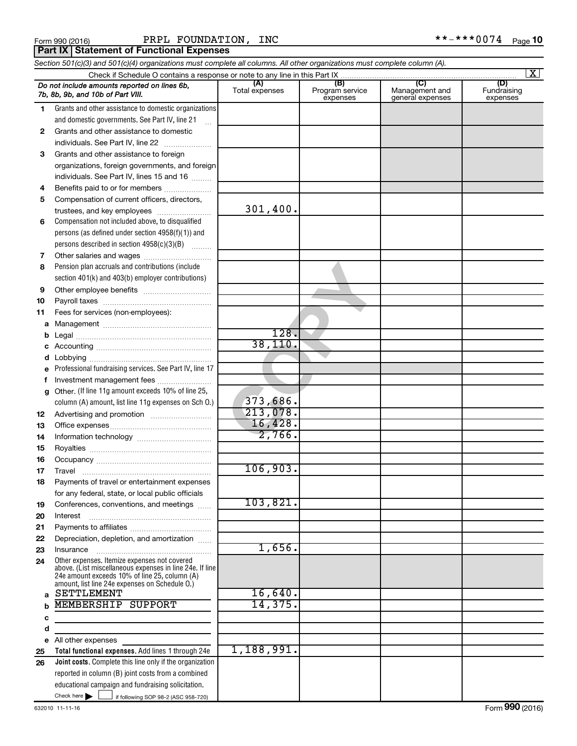**Part IX Statement of Functional Expenses** 

|              | Section 501(c)(3) and 501(c)(4) organizations must complete all columns. All other organizations must complete column (A).                                                                                  |                       |                                    |                                           |                                |  |  |  |  |
|--------------|-------------------------------------------------------------------------------------------------------------------------------------------------------------------------------------------------------------|-----------------------|------------------------------------|-------------------------------------------|--------------------------------|--|--|--|--|
|              | $\mathbf{X}$                                                                                                                                                                                                |                       |                                    |                                           |                                |  |  |  |  |
|              | Do not include amounts reported on lines 6b,<br>7b, 8b, 9b, and 10b of Part VIII.                                                                                                                           | (A)<br>Total expenses | (B)<br>Program service<br>expenses | (C)<br>Management and<br>general expenses | (D)<br>Fundraising<br>expenses |  |  |  |  |
| 1            | Grants and other assistance to domestic organizations                                                                                                                                                       |                       |                                    |                                           |                                |  |  |  |  |
|              | and domestic governments. See Part IV, line 21                                                                                                                                                              |                       |                                    |                                           |                                |  |  |  |  |
| $\mathbf{2}$ | Grants and other assistance to domestic                                                                                                                                                                     |                       |                                    |                                           |                                |  |  |  |  |
|              | individuals. See Part IV, line 22                                                                                                                                                                           |                       |                                    |                                           |                                |  |  |  |  |
| 3            | Grants and other assistance to foreign                                                                                                                                                                      |                       |                                    |                                           |                                |  |  |  |  |
|              | organizations, foreign governments, and foreign                                                                                                                                                             |                       |                                    |                                           |                                |  |  |  |  |
|              | individuals. See Part IV, lines 15 and 16                                                                                                                                                                   |                       |                                    |                                           |                                |  |  |  |  |
| 4            | Benefits paid to or for members                                                                                                                                                                             |                       |                                    |                                           |                                |  |  |  |  |
| 5            | Compensation of current officers, directors,                                                                                                                                                                |                       |                                    |                                           |                                |  |  |  |  |
|              | trustees, and key employees                                                                                                                                                                                 | 301,400.              |                                    |                                           |                                |  |  |  |  |
| 6            | Compensation not included above, to disqualified                                                                                                                                                            |                       |                                    |                                           |                                |  |  |  |  |
|              | persons (as defined under section 4958(f)(1)) and                                                                                                                                                           |                       |                                    |                                           |                                |  |  |  |  |
|              | persons described in section 4958(c)(3)(B)                                                                                                                                                                  |                       |                                    |                                           |                                |  |  |  |  |
| 7            | Other salaries and wages                                                                                                                                                                                    |                       |                                    |                                           |                                |  |  |  |  |
| 8            | Pension plan accruals and contributions (include                                                                                                                                                            |                       |                                    |                                           |                                |  |  |  |  |
|              | section 401(k) and 403(b) employer contributions)                                                                                                                                                           |                       |                                    |                                           |                                |  |  |  |  |
| 9            |                                                                                                                                                                                                             |                       |                                    |                                           |                                |  |  |  |  |
| 10           |                                                                                                                                                                                                             |                       |                                    |                                           |                                |  |  |  |  |
| 11           | Fees for services (non-employees):                                                                                                                                                                          |                       |                                    |                                           |                                |  |  |  |  |
| а            |                                                                                                                                                                                                             | 128.                  |                                    |                                           |                                |  |  |  |  |
| b            |                                                                                                                                                                                                             | 38, 110.              |                                    |                                           |                                |  |  |  |  |
|              |                                                                                                                                                                                                             |                       |                                    |                                           |                                |  |  |  |  |
| d            | Professional fundraising services. See Part IV, line 17                                                                                                                                                     |                       |                                    |                                           |                                |  |  |  |  |
| е<br>f       | Investment management fees                                                                                                                                                                                  |                       |                                    |                                           |                                |  |  |  |  |
| g            | Other. (If line 11g amount exceeds 10% of line 25,                                                                                                                                                          |                       |                                    |                                           |                                |  |  |  |  |
|              | column (A) amount, list line 11g expenses on Sch O.)                                                                                                                                                        | 373,686.              |                                    |                                           |                                |  |  |  |  |
| 12           |                                                                                                                                                                                                             | 213,078.              |                                    |                                           |                                |  |  |  |  |
| 13           |                                                                                                                                                                                                             | 16,428.               |                                    |                                           |                                |  |  |  |  |
| 14           |                                                                                                                                                                                                             | 2,766.                |                                    |                                           |                                |  |  |  |  |
| 15           |                                                                                                                                                                                                             |                       |                                    |                                           |                                |  |  |  |  |
| 16           |                                                                                                                                                                                                             |                       |                                    |                                           |                                |  |  |  |  |
| 17           |                                                                                                                                                                                                             | 106,903.              |                                    |                                           |                                |  |  |  |  |
| 18           | Payments of travel or entertainment expenses                                                                                                                                                                |                       |                                    |                                           |                                |  |  |  |  |
|              | for any federal, state, or local public officials                                                                                                                                                           |                       |                                    |                                           |                                |  |  |  |  |
| 19           | Conferences, conventions, and meetings                                                                                                                                                                      | 103,821.              |                                    |                                           |                                |  |  |  |  |
| 20           | Interest                                                                                                                                                                                                    |                       |                                    |                                           |                                |  |  |  |  |
| 21           |                                                                                                                                                                                                             |                       |                                    |                                           |                                |  |  |  |  |
| 22           | Depreciation, depletion, and amortization                                                                                                                                                                   |                       |                                    |                                           |                                |  |  |  |  |
| 23           | Insurance                                                                                                                                                                                                   | 1,656.                |                                    |                                           |                                |  |  |  |  |
| 24           | Other expenses. Itemize expenses not covered<br>above. (List miscellaneous expenses in line 24e. If line<br>24e amount exceeds 10% of line 25, column (A)<br>amount, list line 24e expenses on Schedule O.) |                       |                                    |                                           |                                |  |  |  |  |
| a            | <b>SETTLEMENT</b>                                                                                                                                                                                           | 16,640.               |                                    |                                           |                                |  |  |  |  |
| b            | MEMBERSHIP SUPPORT                                                                                                                                                                                          | 14,375.               |                                    |                                           |                                |  |  |  |  |
| с            |                                                                                                                                                                                                             |                       |                                    |                                           |                                |  |  |  |  |
| d            |                                                                                                                                                                                                             |                       |                                    |                                           |                                |  |  |  |  |
|              | e All other expenses                                                                                                                                                                                        |                       |                                    |                                           |                                |  |  |  |  |
| 25           | Total functional expenses. Add lines 1 through 24e                                                                                                                                                          | 1,188,991.            |                                    |                                           |                                |  |  |  |  |
| 26           | <b>Joint costs.</b> Complete this line only if the organization                                                                                                                                             |                       |                                    |                                           |                                |  |  |  |  |
|              | reported in column (B) joint costs from a combined                                                                                                                                                          |                       |                                    |                                           |                                |  |  |  |  |
|              | educational campaign and fundraising solicitation.<br>Check here $\blacktriangleright$                                                                                                                      |                       |                                    |                                           |                                |  |  |  |  |
|              | if following SOP 98-2 (ASC 958-720)                                                                                                                                                                         |                       |                                    |                                           |                                |  |  |  |  |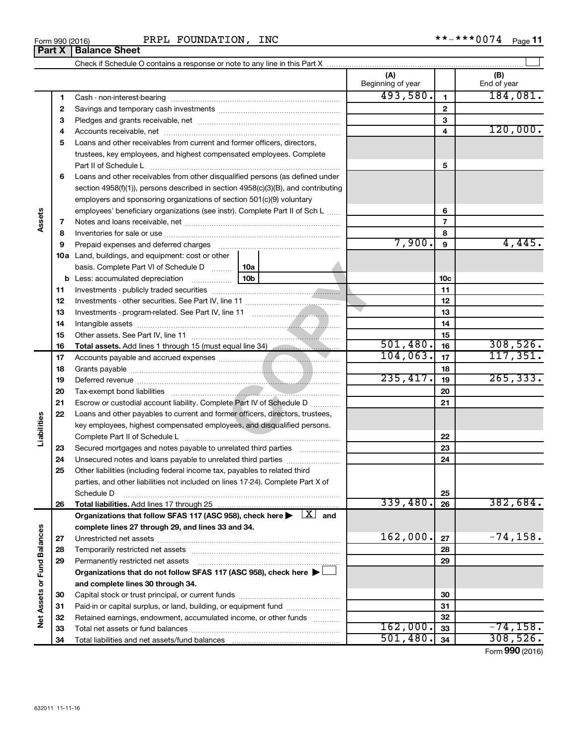| INC<br>FOUNDATION<br>PRPL<br>Form 990 (2016) | $***0074$<br>**_<br>Page |
|----------------------------------------------|--------------------------|
|----------------------------------------------|--------------------------|

|                             |          |                                                                                                                                                                                                                                |                 | (A)<br>Beginning of year |                          | (B)<br>End of year |
|-----------------------------|----------|--------------------------------------------------------------------------------------------------------------------------------------------------------------------------------------------------------------------------------|-----------------|--------------------------|--------------------------|--------------------|
|                             | 1        |                                                                                                                                                                                                                                |                 | 493,580.                 | 1                        | 184,081.           |
|                             | 2        |                                                                                                                                                                                                                                |                 | $\mathbf{2}$             |                          |                    |
|                             | З        |                                                                                                                                                                                                                                |                 |                          | 3                        |                    |
|                             | 4        |                                                                                                                                                                                                                                |                 |                          | 4                        | 120,000.           |
|                             | 5        | Loans and other receivables from current and former officers, directors,                                                                                                                                                       |                 |                          |                          |                    |
|                             |          | trustees, key employees, and highest compensated employees. Complete                                                                                                                                                           |                 |                          |                          |                    |
|                             |          | Part II of Schedule L                                                                                                                                                                                                          |                 |                          | 5                        |                    |
|                             | 6        | Loans and other receivables from other disqualified persons (as defined under                                                                                                                                                  |                 |                          |                          |                    |
|                             |          | section $4958(f)(1)$ , persons described in section $4958(c)(3)(B)$ , and contributing                                                                                                                                         |                 |                          |                          |                    |
|                             |          | employers and sponsoring organizations of section 501(c)(9) voluntary                                                                                                                                                          |                 |                          |                          |                    |
|                             |          | employees' beneficiary organizations (see instr). Complete Part II of Sch L                                                                                                                                                    |                 |                          | 6                        |                    |
| Assets                      | 7        |                                                                                                                                                                                                                                |                 |                          | $\overline{\phantom{a}}$ |                    |
|                             | 8        |                                                                                                                                                                                                                                |                 |                          | 8                        |                    |
|                             | 9        | Prepaid expenses and deferred charges [11] matter continues and the charges [11] matter continues and the Prepaid expenses and deferred charges [11] matter continues and the Prepaid experiment of Prepaid experiment and the |                 | 7,900.                   | 9                        | 4,445.             |
|                             |          | 10a Land, buildings, and equipment: cost or other                                                                                                                                                                              |                 |                          |                          |                    |
|                             |          | basis. Complete Part VI of Schedule D                                                                                                                                                                                          | 10a             |                          |                          |                    |
|                             |          | <b>b</b> Less: accumulated depreciation                                                                                                                                                                                        | 10 <sub>b</sub> |                          | 10 <sub>c</sub>          |                    |
|                             | 11       |                                                                                                                                                                                                                                |                 |                          | 11                       |                    |
|                             | 12       |                                                                                                                                                                                                                                |                 |                          | 12                       |                    |
|                             | 13       |                                                                                                                                                                                                                                |                 |                          | 13                       |                    |
|                             | 14       |                                                                                                                                                                                                                                |                 | 14                       |                          |                    |
|                             | 15       |                                                                                                                                                                                                                                |                 |                          | 15                       |                    |
|                             | 16       | Total assets. Add lines 1 through 15 (must equal line 34)                                                                                                                                                                      |                 | 501,480.                 | 16                       | 308,526.           |
|                             | 17       |                                                                                                                                                                                                                                |                 | 104,063.                 | 17                       | 117, 351.          |
|                             | 18       |                                                                                                                                                                                                                                |                 | 235,417.                 | 18                       | 265, 333.          |
|                             | 19       |                                                                                                                                                                                                                                |                 | 19                       |                          |                    |
|                             | 20       |                                                                                                                                                                                                                                |                 |                          | 20                       |                    |
|                             | 21       | Escrow or custodial account liability. Complete Part IV of Schedule D                                                                                                                                                          | .               |                          | 21                       |                    |
| Liabilities                 | 22       | Loans and other payables to current and former officers, directors, trustees,                                                                                                                                                  |                 |                          |                          |                    |
|                             |          | key employees, highest compensated employees, and disqualified persons.                                                                                                                                                        |                 |                          |                          |                    |
|                             |          |                                                                                                                                                                                                                                |                 |                          | 22                       |                    |
|                             | 23<br>24 | Secured mortgages and notes payable to unrelated third parties<br>Unsecured notes and loans payable to unrelated third parties                                                                                                 | .               |                          | 23<br>24                 |                    |
|                             | 25       | Other liabilities (including federal income tax, payables to related third                                                                                                                                                     |                 |                          |                          |                    |
|                             |          | parties, and other liabilities not included on lines 17-24). Complete Part X of                                                                                                                                                |                 |                          |                          |                    |
|                             |          | Schedule D                                                                                                                                                                                                                     |                 |                          | 25                       |                    |
|                             | 26       |                                                                                                                                                                                                                                |                 | 339,480.                 | 26                       | 382,684.           |
|                             |          | Organizations that follow SFAS 117 (ASC 958), check here $\blacktriangleright \begin{array}{c} \perp X \end{array}$ and                                                                                                        |                 |                          |                          |                    |
|                             |          | complete lines 27 through 29, and lines 33 and 34.                                                                                                                                                                             |                 |                          |                          |                    |
|                             | 27       |                                                                                                                                                                                                                                |                 | 162,000.                 | 27                       | $-74, 158.$        |
|                             | 28       |                                                                                                                                                                                                                                |                 |                          | 28                       |                    |
|                             | 29       | Permanently restricted net assets                                                                                                                                                                                              |                 |                          | 29                       |                    |
|                             |          | Organizations that do not follow SFAS 117 (ASC 958), check here $\blacktriangleright$                                                                                                                                          |                 |                          |                          |                    |
|                             |          | and complete lines 30 through 34.                                                                                                                                                                                              |                 |                          |                          |                    |
|                             | 30       |                                                                                                                                                                                                                                |                 |                          | 30                       |                    |
|                             | 31       | Paid-in or capital surplus, or land, building, or equipment fund                                                                                                                                                               |                 |                          | 31                       |                    |
| Net Assets or Fund Balances | 32       | Retained earnings, endowment, accumulated income, or other funds                                                                                                                                                               |                 |                          | 32                       |                    |
|                             | 33       |                                                                                                                                                                                                                                |                 | 162,000.                 | 33                       | $-74,158.$         |
|                             | 34       |                                                                                                                                                                                                                                |                 | 501,480.                 | 34                       | 308,526.           |

Form (2016) **990**

# **Part X Balance Sheet**

| Form 990 (2016) |  |  |
|-----------------|--|--|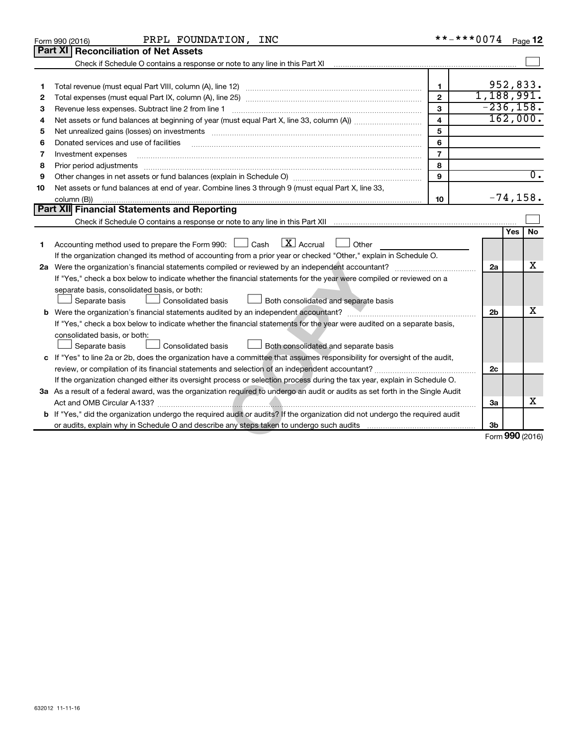|    | PRPL FOUNDATION, INC<br>Form 990 (2016)                                                                                                                                                                                        |                         | **-***0074 Page 12 |            |                  |
|----|--------------------------------------------------------------------------------------------------------------------------------------------------------------------------------------------------------------------------------|-------------------------|--------------------|------------|------------------|
|    | Part XI<br><b>Reconciliation of Net Assets</b>                                                                                                                                                                                 |                         |                    |            |                  |
|    |                                                                                                                                                                                                                                |                         |                    |            |                  |
|    |                                                                                                                                                                                                                                |                         |                    |            |                  |
| 1  |                                                                                                                                                                                                                                | $\mathbf{1}$            | 952,833.           |            |                  |
| 2  |                                                                                                                                                                                                                                | $\overline{2}$          | 1,188,991.         |            |                  |
| З  | Revenue less expenses. Subtract line 2 from line 1                                                                                                                                                                             | $\mathbf{3}$            | $-236, 158.$       |            |                  |
| 4  |                                                                                                                                                                                                                                | $\overline{\mathbf{4}}$ | 162,000.           |            |                  |
| 5  |                                                                                                                                                                                                                                | 5                       |                    |            |                  |
| 6  | Donated services and use of facilities                                                                                                                                                                                         | 6                       |                    |            |                  |
| 7  | Investment expenses                                                                                                                                                                                                            | $\overline{7}$          |                    |            |                  |
| 8  | Prior period adjustments [111] matter contract and an international contract and adjustments [11] matter contract and adjustments [11] matter contract and adjustments [11] matter contract and adjustments and adjustments an | 8                       |                    |            |                  |
| 9  |                                                                                                                                                                                                                                | 9                       |                    |            | $\overline{0}$ . |
| 10 | Net assets or fund balances at end of year. Combine lines 3 through 9 (must equal Part X, line 33,                                                                                                                             |                         |                    |            |                  |
|    | column (B))                                                                                                                                                                                                                    | 10                      | $-74, 158.$        |            |                  |
|    | Part XII Financial Statements and Reporting                                                                                                                                                                                    |                         |                    |            |                  |
|    |                                                                                                                                                                                                                                |                         |                    |            |                  |
|    |                                                                                                                                                                                                                                |                         |                    | <b>Yes</b> | No               |
| 1  | $\boxed{\text{X}}$ Accrual<br>Accounting method used to prepare the Form 990: [130] Cash<br>Other                                                                                                                              |                         |                    |            |                  |
|    | If the organization changed its method of accounting from a prior year or checked "Other," explain in Schedule O.                                                                                                              |                         |                    |            |                  |
|    |                                                                                                                                                                                                                                |                         | 2a                 |            | x                |
|    | If "Yes," check a box below to indicate whether the financial statements for the year were compiled or reviewed on a                                                                                                           |                         |                    |            |                  |
|    | separate basis, consolidated basis, or both:                                                                                                                                                                                   |                         |                    |            |                  |
|    | Consolidated basis<br>Separate basis<br>Both consolidated and separate basis                                                                                                                                                   |                         |                    |            |                  |
|    |                                                                                                                                                                                                                                |                         | 2 <sub>b</sub>     |            | х                |
|    | If "Yes," check a box below to indicate whether the financial statements for the year were audited on a separate basis,                                                                                                        |                         |                    |            |                  |
|    | consolidated basis, or both:                                                                                                                                                                                                   |                         |                    |            |                  |
|    | Separate basis<br>Consolidated basis<br>Both consolidated and separate basis                                                                                                                                                   |                         |                    |            |                  |
|    | c If "Yes" to line 2a or 2b, does the organization have a committee that assumes responsibility for oversight of the audit,                                                                                                    |                         |                    |            |                  |
|    |                                                                                                                                                                                                                                |                         | 2c                 |            |                  |
|    | If the organization changed either its oversight process or selection process during the tax year, explain in Schedule O.                                                                                                      |                         |                    |            |                  |
|    | 3a As a result of a federal award, was the organization required to undergo an audit or audits as set forth in the Single Audit                                                                                                |                         |                    |            |                  |
|    |                                                                                                                                                                                                                                |                         | 3a                 |            | x                |
|    | b If "Yes," did the organization undergo the required audit or audits? If the organization did not undergo the required audit                                                                                                  |                         |                    |            |                  |
|    |                                                                                                                                                                                                                                |                         | 3b                 |            |                  |
|    |                                                                                                                                                                                                                                |                         | Form 990 (2016)    |            |                  |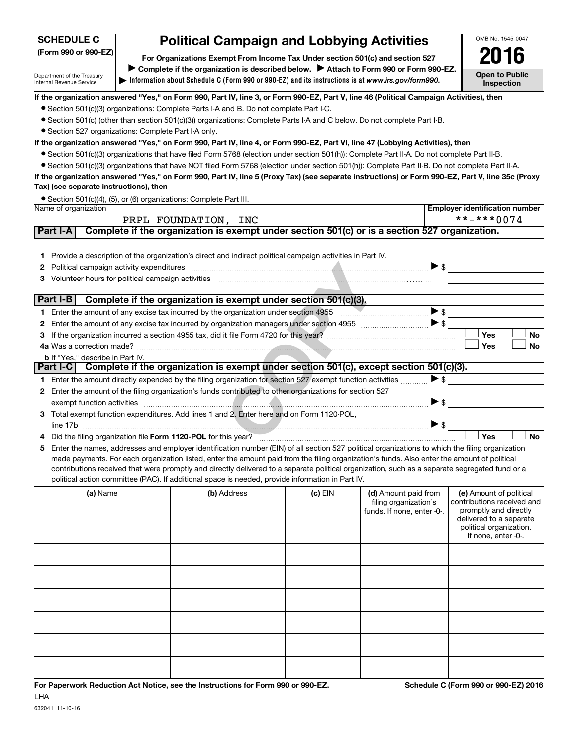| <b>SCHEDULE C</b>                                             | <b>Political Campaign and Lobbying Activities</b>                                                                                                                                        |                          | OMB No. 1545-0047                     |  |  |  |  |
|---------------------------------------------------------------|------------------------------------------------------------------------------------------------------------------------------------------------------------------------------------------|--------------------------|---------------------------------------|--|--|--|--|
| (Form 990 or 990-EZ)                                          | For Organizations Exempt From Income Tax Under section 501(c) and section 527                                                                                                            |                          |                                       |  |  |  |  |
| Department of the Treasury<br><b>Internal Revenue Service</b> | Complete if the organization is described below. Attach to Form 990 or Form 990-EZ.<br>Information about Schedule C (Form 990 or 990-EZ) and its instructions is at www.irs.gov/form990. |                          | <b>Open to Public</b><br>Inspection   |  |  |  |  |
|                                                               | If the organization answered "Yes," on Form 990, Part IV, line 3, or Form 990-EZ, Part V, line 46 (Political Campaign Activities), then                                                  |                          |                                       |  |  |  |  |
|                                                               | • Section 501(c)(3) organizations: Complete Parts I-A and B. Do not complete Part I-C.                                                                                                   |                          |                                       |  |  |  |  |
|                                                               | • Section 501(c) (other than section 501(c)(3)) organizations: Complete Parts I-A and C below. Do not complete Part I-B.                                                                 |                          |                                       |  |  |  |  |
|                                                               | • Section 527 organizations: Complete Part I-A only.                                                                                                                                     |                          |                                       |  |  |  |  |
|                                                               | If the organization answered "Yes," on Form 990, Part IV, line 4, or Form 990-EZ, Part VI, line 47 (Lobbying Activities), then                                                           |                          |                                       |  |  |  |  |
|                                                               | • Section 501(c)(3) organizations that have filed Form 5768 (election under section 501(h)): Complete Part II-A. Do not complete Part II-B.                                              |                          |                                       |  |  |  |  |
|                                                               | • Section 501(c)(3) organizations that have NOT filed Form 5768 (election under section 501(h)): Complete Part II-B. Do not complete Part II-A.                                          |                          |                                       |  |  |  |  |
|                                                               | If the organization answered "Yes," on Form 990, Part IV, line 5 (Proxy Tax) (see separate instructions) or Form 990-EZ, Part V, line 35c (Proxy                                         |                          |                                       |  |  |  |  |
| Tax) (see separate instructions), then                        |                                                                                                                                                                                          |                          |                                       |  |  |  |  |
|                                                               | • Section 501(c)(4), (5), or (6) organizations: Complete Part III.                                                                                                                       |                          |                                       |  |  |  |  |
| Name of organization                                          |                                                                                                                                                                                          |                          | <b>Employer identification number</b> |  |  |  |  |
|                                                               | PRPL FOUNDATION, INC                                                                                                                                                                     |                          | **-***0074                            |  |  |  |  |
| Part I-A                                                      | Complete if the organization is exempt under section 501(c) or is a section 527 organization.                                                                                            |                          |                                       |  |  |  |  |
|                                                               |                                                                                                                                                                                          |                          |                                       |  |  |  |  |
|                                                               | Provide a description of the organization's direct and indirect political campaign activities in Part IV.                                                                                |                          |                                       |  |  |  |  |
| $\mathbf{2}$                                                  | Political campaign activity expenditures                                                                                                                                                 | $\triangleright$ \$      |                                       |  |  |  |  |
| 3                                                             | Volunteer hours for political campaign activities<br>그 사람들은 그 사람들은 아이들의 사람들을 만들어 보이는 것이다. 그 사람들은 아이들의 사람들은 아이들의 사람들을 만들어 있다.                                                             |                          |                                       |  |  |  |  |
|                                                               |                                                                                                                                                                                          |                          |                                       |  |  |  |  |
| Part I-B                                                      | Complete if the organization is exempt under section 501(c)(3).                                                                                                                          |                          |                                       |  |  |  |  |
|                                                               | 1 Enter the amount of any excise tax incurred by the organization under section 4955                                                                                                     | $\blacktriangleright$ \$ |                                       |  |  |  |  |
|                                                               | . Februaries approved of any cycles bey becomed by consectantly presented including as states 40FF                                                                                       |                          |                                       |  |  |  |  |

632041 11-10-16

LHA

| contributions received that were promptly and directly delivered to a separate political organization, such as a separate segregated fund or a |                    |           |                      |                       |  |  |  |  |  |  |  |
|------------------------------------------------------------------------------------------------------------------------------------------------|--------------------|-----------|----------------------|-----------------------|--|--|--|--|--|--|--|
| political action committee (PAC). If additional space is needed, provide information in Part IV.                                               |                    |           |                      |                       |  |  |  |  |  |  |  |
| (a) Name                                                                                                                                       | <b>(b)</b> Address | $(c)$ EIN | (d) Amount paid from | (e) Amount of politic |  |  |  |  |  |  |  |

| (a) Name | (b) Address | $(c)$ EIN | (d) Amount paid from<br>filing organization's<br>funds. If none, enter -0-. | (e) Amount of political<br>contributions received and<br>promptly and directly<br>delivered to a separate<br>political organization.<br>If none, enter -0-. |
|----------|-------------|-----------|-----------------------------------------------------------------------------|-------------------------------------------------------------------------------------------------------------------------------------------------------------|
|          |             |           |                                                                             |                                                                                                                                                             |
|          |             |           |                                                                             |                                                                                                                                                             |
|          |             |           |                                                                             |                                                                                                                                                             |
|          |             |           |                                                                             |                                                                                                                                                             |
|          |             |           |                                                                             |                                                                                                                                                             |
|          |             |           |                                                                             |                                                                                                                                                             |

**For Paperwork Reduction Act Notice, see the Instructions for Form 990 or 990-EZ. Schedule C (Form 990 or 990-EZ) 2016**

| <b>2</b> Political campaign activity expenditures                                                                      |                          |            |           |
|------------------------------------------------------------------------------------------------------------------------|--------------------------|------------|-----------|
| Volunteer hours for political campaign activities<br>з                                                                 |                          |            |           |
|                                                                                                                        |                          |            |           |
| Complete if the organization is exempt under section 501(c)(3).<br>Part I-B                                            |                          |            |           |
| Enter the amount of any excise tax incurred by the organization under section 4955                                     | $\blacktriangleright$ \$ |            |           |
| Enter the amount of any excise tax incurred by organization managers under section 4955                                | ≻ \$                     |            |           |
| з                                                                                                                      |                          | <b>Yes</b> | <b>No</b> |
|                                                                                                                        |                          | Yes        | No        |
| <b>b</b> If "Yes." describe in Part IV.                                                                                |                          |            |           |
| Complete if the organization is exempt under section 501(c), except section 501(c)(3).<br><b>Part I-CI</b>             |                          |            |           |
| Enter the amount directly expended by the filing organization for section 527 exempt function activities               | $\triangleright$ s       |            |           |
| Enter the amount of the filing organization's funds contributed to other organizations for section 527<br>$\mathbf{2}$ |                          |            |           |
| exempt function activities                                                                                             |                          |            |           |
| Total exempt function expenditures. Add lines 1 and 2. Enter here and on Form 1120-POL,<br>3                           |                          |            |           |
| line 17b                                                                                                               |                          |            |           |
| Did the filing organization file Form 1120-POL for this year?                                                          |                          | Yes        | N٥        |
|                                                                                                                        |                          |            |           |

| Total exempt function expenditures. Add lines 1 and 2. Enter here and on Form 1120-POL,                                                           |     |           |
|---------------------------------------------------------------------------------------------------------------------------------------------------|-----|-----------|
| line 17b                                                                                                                                          |     |           |
| 4 Did the filing organization file Form 1120-POL for this year?                                                                                   | Yes | <b>No</b> |
| 5 Enter the names, addresses and employer identification number (EIN) of all section 527 political organizations to which the filing organization |     |           |
| made payments. For each organization listed, enter the amount paid from the filing organization's funds. Also enter the amount of political       |     |           |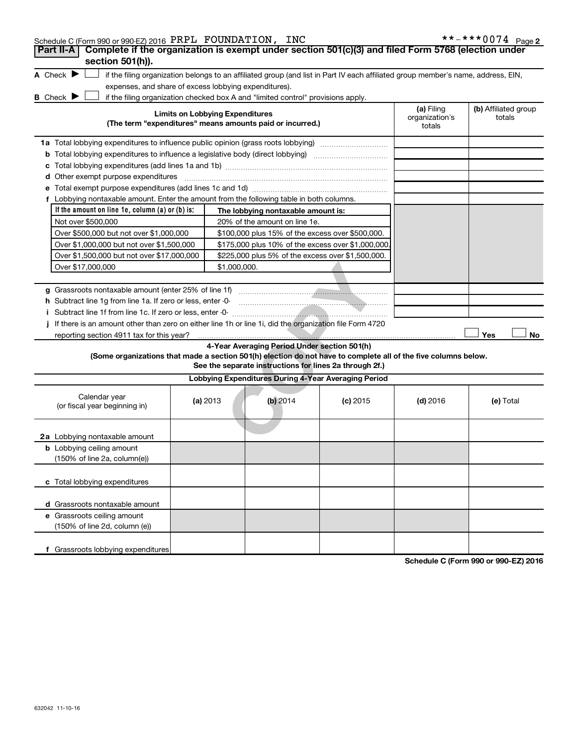| Schedule C (Form 990 or 990-EZ) 2016 PRPL FOUNDATION, INC                                                                                                          |                                        |                                                         |            |                                        | **-***0074 Page 2              |
|--------------------------------------------------------------------------------------------------------------------------------------------------------------------|----------------------------------------|---------------------------------------------------------|------------|----------------------------------------|--------------------------------|
| Complete if the organization is exempt under section 501(c)(3) and filed Form 5768 (election under<br>Part II-A                                                    |                                        |                                                         |            |                                        |                                |
| section 501(h)).                                                                                                                                                   |                                        |                                                         |            |                                        |                                |
| A Check $\blacktriangleright$<br>if the filing organization belongs to an affiliated group (and list in Part IV each affiliated group member's name, address, EIN, |                                        |                                                         |            |                                        |                                |
| expenses, and share of excess lobbying expenditures).                                                                                                              |                                        |                                                         |            |                                        |                                |
| <b>B</b> Check <b>P</b><br>if the filing organization checked box A and "limited control" provisions apply.                                                        |                                        |                                                         |            |                                        |                                |
| (The term "expenditures" means amounts paid or incurred.)                                                                                                          | <b>Limits on Lobbying Expenditures</b> |                                                         |            | (a) Filing<br>organization's<br>totals | (b) Affiliated group<br>totals |
| 1a Total lobbying expenditures to influence public opinion (grass roots lobbying)                                                                                  |                                        |                                                         |            |                                        |                                |
| <b>b</b> Total lobbying expenditures to influence a legislative body (direct lobbying) <i>manumumumum</i>                                                          |                                        |                                                         |            |                                        |                                |
| С                                                                                                                                                                  |                                        |                                                         |            |                                        |                                |
| <b>d</b> Other exempt purpose expenditures                                                                                                                         |                                        |                                                         |            |                                        |                                |
|                                                                                                                                                                    |                                        |                                                         |            |                                        |                                |
| f Lobbying nontaxable amount. Enter the amount from the following table in both columns.                                                                           |                                        |                                                         |            |                                        |                                |
| If the amount on line 1e, column $(a)$ or $(b)$ is:                                                                                                                |                                        | The lobbying nontaxable amount is:                      |            |                                        |                                |
| Not over \$500,000                                                                                                                                                 |                                        | 20% of the amount on line 1e.                           |            |                                        |                                |
| Over \$500,000 but not over \$1,000,000                                                                                                                            |                                        | \$100,000 plus 15% of the excess over \$500,000.        |            |                                        |                                |
| Over \$1,000,000 but not over \$1,500,000                                                                                                                          |                                        | \$175,000 plus 10% of the excess over \$1,000,000       |            |                                        |                                |
| Over \$1,500,000 but not over \$17,000,000                                                                                                                         |                                        | \$225,000 plus 5% of the excess over \$1,500,000.       |            |                                        |                                |
| Over \$17,000,000                                                                                                                                                  | \$1,000,000.                           |                                                         |            |                                        |                                |
|                                                                                                                                                                    |                                        |                                                         |            |                                        |                                |
| g Grassroots nontaxable amount (enter 25% of line 1f)                                                                                                              |                                        |                                                         |            |                                        |                                |
| h Subtract line 1g from line 1a. If zero or less, enter -0-                                                                                                        |                                        |                                                         |            |                                        |                                |
|                                                                                                                                                                    |                                        |                                                         |            |                                        |                                |
| If there is an amount other than zero on either line 1h or line 1i, did the organization file Form 4720<br>i.                                                      |                                        |                                                         |            |                                        |                                |
| reporting section 4911 tax for this year?                                                                                                                          |                                        |                                                         |            |                                        | Yes<br>No                      |
|                                                                                                                                                                    |                                        | 4-Year Averaging Period Under section 501(h)            |            |                                        |                                |
| (Some organizations that made a section 501(h) election do not have to complete all of the five columns below.                                                     |                                        |                                                         |            |                                        |                                |
|                                                                                                                                                                    |                                        | See the separate instructions for lines 2a through 2f.) |            |                                        |                                |
|                                                                                                                                                                    |                                        | Lobbying Expenditures During 4-Year Averaging Period    |            |                                        |                                |
| Calendar year<br>(or fiscal year beginning in)                                                                                                                     | (a) 2013                               | $(b)$ 2014                                              | $(c)$ 2015 | $(d)$ 2016                             | (e) Total                      |
| 2a Lobbying nontaxable amount                                                                                                                                      |                                        |                                                         |            |                                        |                                |
| <b>b</b> Lobbying ceiling amount                                                                                                                                   |                                        |                                                         |            |                                        |                                |
| (150% of line 2a, column(e))                                                                                                                                       |                                        |                                                         |            |                                        |                                |
| c Total lobbying expenditures                                                                                                                                      |                                        |                                                         |            |                                        |                                |
|                                                                                                                                                                    |                                        |                                                         |            |                                        |                                |
| d Grassroots nontaxable amount                                                                                                                                     |                                        |                                                         |            |                                        |                                |
| e Grassroots ceiling amount                                                                                                                                        |                                        |                                                         |            |                                        |                                |
| (150% of line 2d, column (e))                                                                                                                                      |                                        |                                                         |            |                                        |                                |
| f Grassroots lobbying expenditures                                                                                                                                 |                                        |                                                         |            |                                        |                                |
|                                                                                                                                                                    |                                        |                                                         |            |                                        |                                |

**Schedule C (Form 990 or 990-EZ) 2016**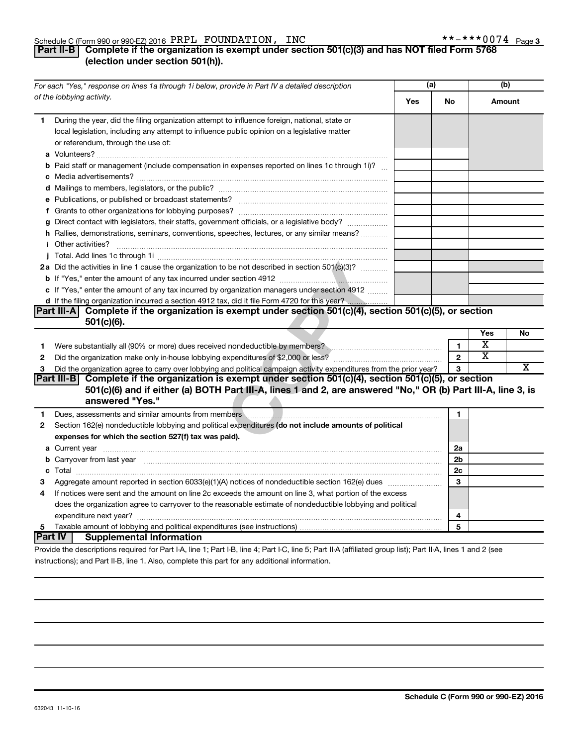#### Schedule C (Form 990 or 990-EZ) 2016  $\bm{P}\bm{R}\bm{P}\bm{\perp}$   $\bm{F}$   $\bm{C}$   $\bm{D}$   $\bm{N}$  ,  $\bm{F}$   $\bm{C}$   $\bm{N}$  ,  $\bm{C}$   $\bm{S}$  ,  $\bm{C}$   $\bm{S}$  ,  $\bm{C}$   $\bm{S}$  ,  $\bm{C}$   $\bm{S}$  ,  $\bm{C}$  ,  $\bm{S}$  ,  $\bm{C}$  , PRPL FOUNDATION, INC \*\*-\*\*\*0074

### **Part II-B Complete if the organization is exempt under section 501(c)(3) and has NOT filed Form 5768 (election under section 501(h)).**

|              | For each "Yes," response on lines 1a through 1i below, provide in Part IV a detailed description                                                                                                                                            | (a) |                | (b)        |    |
|--------------|---------------------------------------------------------------------------------------------------------------------------------------------------------------------------------------------------------------------------------------------|-----|----------------|------------|----|
|              | of the lobbying activity.                                                                                                                                                                                                                   | Yes | No             | Amount     |    |
| 1.           | During the year, did the filing organization attempt to influence foreign, national, state or<br>local legislation, including any attempt to influence public opinion on a legislative matter<br>or referendum, through the use of:         |     |                |            |    |
|              | <b>b</b> Paid staff or management (include compensation in expenses reported on lines 1c through 1i)?                                                                                                                                       |     |                |            |    |
|              |                                                                                                                                                                                                                                             |     |                |            |    |
|              |                                                                                                                                                                                                                                             |     |                |            |    |
|              |                                                                                                                                                                                                                                             |     |                |            |    |
|              |                                                                                                                                                                                                                                             |     |                |            |    |
|              | g Direct contact with legislators, their staffs, government officials, or a legislative body?                                                                                                                                               |     |                |            |    |
|              | h Rallies, demonstrations, seminars, conventions, speeches, lectures, or any similar means?                                                                                                                                                 |     |                |            |    |
|              |                                                                                                                                                                                                                                             |     |                |            |    |
|              |                                                                                                                                                                                                                                             |     |                |            |    |
|              | 2a Did the activities in line 1 cause the organization to be not described in section 501(c)(3)?                                                                                                                                            |     |                |            |    |
|              |                                                                                                                                                                                                                                             |     |                |            |    |
|              | c If "Yes," enter the amount of any tax incurred by organization managers under section 4912                                                                                                                                                |     |                |            |    |
|              |                                                                                                                                                                                                                                             |     |                |            |    |
|              | Complete if the organization is exempt under section 501(c)(4), section 501(c)(5), or section<br>Part III-A                                                                                                                                 |     |                |            |    |
|              | $501(c)(6)$ .                                                                                                                                                                                                                               |     |                |            |    |
|              |                                                                                                                                                                                                                                             |     |                | <b>Yes</b> | No |
| 1.           |                                                                                                                                                                                                                                             |     | $\mathbf{1}$   | х          |    |
| $\mathbf{2}$ |                                                                                                                                                                                                                                             |     | $\overline{2}$ | x          |    |
| 3            | Did the organization agree to carry over lobbying and political campaign activity expenditures from the prior year?                                                                                                                         |     | 3              |            | X  |
|              | Part III-B Complete if the organization is exempt under section 501(c)(4), section 501(c)(5), or section<br>501(c)(6) and if either (a) BOTH Part III-A, lines 1 and 2, are answered "No," OR (b) Part III-A, line 3, is<br>answered "Yes." |     |                |            |    |
| 1            | Dues, assessments and similar amounts from members <b>with an amount of the contract of the contract of the contract of the contract of the contract of the contract of the contract of the contract of the contract of the cont</b>        |     | 1              |            |    |
| $\mathbf{2}$ | Section 162(e) nondeductible lobbying and political expenditures (do not include amounts of political                                                                                                                                       |     |                |            |    |
|              | expenses for which the section 527(f) tax was paid).                                                                                                                                                                                        |     |                |            |    |
|              |                                                                                                                                                                                                                                             |     | 2a             |            |    |
|              | b Carryover from last year manufactured and content to content the content of the content of the content of the content of the content of the content of the content of the content of the content of the content of the conte              |     | 2 <sub>b</sub> |            |    |
|              |                                                                                                                                                                                                                                             |     | 2c             |            |    |
| з            | Aggregate amount reported in section 6033(e)(1)(A) notices of nondeductible section 162(e) dues                                                                                                                                             |     | 3              |            |    |
| 4            | If notices were sent and the amount on line 2c exceeds the amount on line 3, what portion of the excess                                                                                                                                     |     |                |            |    |
|              | does the organization agree to carryover to the reasonable estimate of nondeductible lobbying and political                                                                                                                                 |     |                |            |    |
|              |                                                                                                                                                                                                                                             |     | 4              |            |    |
| 5            |                                                                                                                                                                                                                                             |     | 5              |            |    |
|              | <b>Part IV</b><br><b>Supplemental Information</b>                                                                                                                                                                                           |     |                |            |    |
|              | the the chemical contract for Death A. Bread : Death D. Bread of Death O. Bread I. A. (affiliated success Bath Death A. Bread of                                                                                                            |     |                |            |    |

Provide the descriptions required for Part I-A, line 1; Part I-B, line 4; Part I-C, line 5; Part II-A (affiliated group list); Part II-A, lines 1 and 2 (see instructions); and Part II-B, line 1. Also, complete this part for any additional information.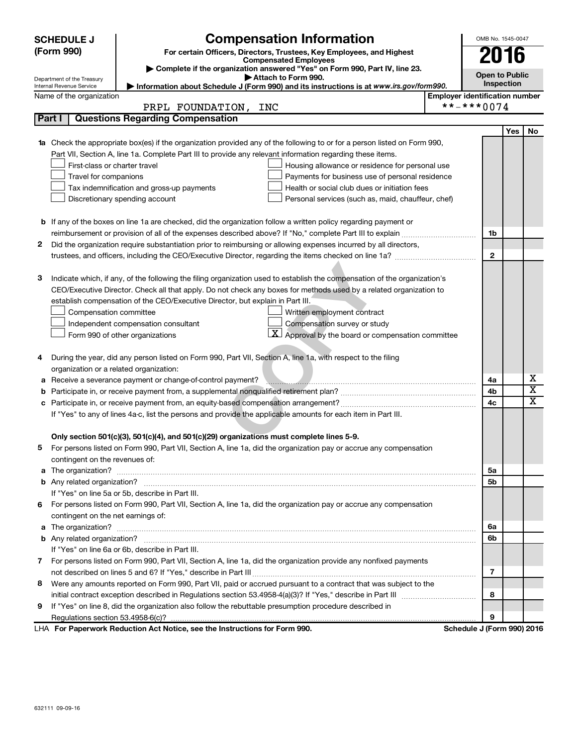| <b>Compensation Information</b><br><b>SCHEDULE J</b><br>(Form 990)<br>For certain Officers, Directors, Trustees, Key Employees, and Highest<br>2016<br><b>Compensated Employees</b><br>Complete if the organization answered "Yes" on Form 990, Part IV, line 23.<br><b>Open to Public</b><br>Attach to Form 990.<br>Department of the Treasury<br>Inspection<br>Information about Schedule J (Form 990) and its instructions is at www.irs.gov/form990.<br><b>Internal Revenue Service</b><br>Name of the organization<br><b>Employer identification number</b><br>**-***0074<br>PRPL FOUNDATION, INC<br><b>Questions Regarding Compensation</b><br>Part I<br>Yes<br>No<br><b>1a</b> Check the appropriate box(es) if the organization provided any of the following to or for a person listed on Form 990,<br>Part VII, Section A, line 1a. Complete Part III to provide any relevant information regarding these items.<br>First-class or charter travel<br>Housing allowance or residence for personal use<br>Travel for companions<br>Payments for business use of personal residence<br>Tax indemnification and gross-up payments<br>Health or social club dues or initiation fees<br>Discretionary spending account<br>Personal services (such as, maid, chauffeur, chef)<br><b>b</b> If any of the boxes on line 1a are checked, did the organization follow a written policy regarding payment or<br>1b<br>Did the organization require substantiation prior to reimbursing or allowing expenses incurred by all directors,<br>2<br>$\mathbf{2}$<br>з<br>Indicate which, if any, of the following the filing organization used to establish the compensation of the organization's<br>CEO/Executive Director. Check all that apply. Do not check any boxes for methods used by a related organization to<br>establish compensation of the CEO/Executive Director, but explain in Part III.<br>Compensation committee<br>Written employment contract<br>Compensation survey or study<br>Independent compensation consultant<br>Approval by the board or compensation committee<br>Form 990 of other organizations<br>During the year, did any person listed on Form 990, Part VII, Section A, line 1a, with respect to the filing<br>4<br>organization or a related organization:<br>х<br>Receive a severance payment or change-of-control payment?<br>4a<br>а<br>$\overline{\text{x}}$<br>4b<br>b<br>$\overline{\texttt{x}}$<br>4c<br>If "Yes" to any of lines 4a-c, list the persons and provide the applicable amounts for each item in Part III.<br>Only section 501(c)(3), 501(c)(4), and 501(c)(29) organizations must complete lines 5-9. |
|----------------------------------------------------------------------------------------------------------------------------------------------------------------------------------------------------------------------------------------------------------------------------------------------------------------------------------------------------------------------------------------------------------------------------------------------------------------------------------------------------------------------------------------------------------------------------------------------------------------------------------------------------------------------------------------------------------------------------------------------------------------------------------------------------------------------------------------------------------------------------------------------------------------------------------------------------------------------------------------------------------------------------------------------------------------------------------------------------------------------------------------------------------------------------------------------------------------------------------------------------------------------------------------------------------------------------------------------------------------------------------------------------------------------------------------------------------------------------------------------------------------------------------------------------------------------------------------------------------------------------------------------------------------------------------------------------------------------------------------------------------------------------------------------------------------------------------------------------------------------------------------------------------------------------------------------------------------------------------------------------------------------------------------------------------------------------------------------------------------------------------------------------------------------------------------------------------------------------------------------------------------------------------------------------------------------------------------------------------------------------------------------------------------------------------------------------------------------------------------------------------------------------------------------------------------------------------------------------------------------------------------------------------|
|                                                                                                                                                                                                                                                                                                                                                                                                                                                                                                                                                                                                                                                                                                                                                                                                                                                                                                                                                                                                                                                                                                                                                                                                                                                                                                                                                                                                                                                                                                                                                                                                                                                                                                                                                                                                                                                                                                                                                                                                                                                                                                                                                                                                                                                                                                                                                                                                                                                                                                                                                                                                                                                          |
|                                                                                                                                                                                                                                                                                                                                                                                                                                                                                                                                                                                                                                                                                                                                                                                                                                                                                                                                                                                                                                                                                                                                                                                                                                                                                                                                                                                                                                                                                                                                                                                                                                                                                                                                                                                                                                                                                                                                                                                                                                                                                                                                                                                                                                                                                                                                                                                                                                                                                                                                                                                                                                                          |
|                                                                                                                                                                                                                                                                                                                                                                                                                                                                                                                                                                                                                                                                                                                                                                                                                                                                                                                                                                                                                                                                                                                                                                                                                                                                                                                                                                                                                                                                                                                                                                                                                                                                                                                                                                                                                                                                                                                                                                                                                                                                                                                                                                                                                                                                                                                                                                                                                                                                                                                                                                                                                                                          |
|                                                                                                                                                                                                                                                                                                                                                                                                                                                                                                                                                                                                                                                                                                                                                                                                                                                                                                                                                                                                                                                                                                                                                                                                                                                                                                                                                                                                                                                                                                                                                                                                                                                                                                                                                                                                                                                                                                                                                                                                                                                                                                                                                                                                                                                                                                                                                                                                                                                                                                                                                                                                                                                          |
|                                                                                                                                                                                                                                                                                                                                                                                                                                                                                                                                                                                                                                                                                                                                                                                                                                                                                                                                                                                                                                                                                                                                                                                                                                                                                                                                                                                                                                                                                                                                                                                                                                                                                                                                                                                                                                                                                                                                                                                                                                                                                                                                                                                                                                                                                                                                                                                                                                                                                                                                                                                                                                                          |
|                                                                                                                                                                                                                                                                                                                                                                                                                                                                                                                                                                                                                                                                                                                                                                                                                                                                                                                                                                                                                                                                                                                                                                                                                                                                                                                                                                                                                                                                                                                                                                                                                                                                                                                                                                                                                                                                                                                                                                                                                                                                                                                                                                                                                                                                                                                                                                                                                                                                                                                                                                                                                                                          |
|                                                                                                                                                                                                                                                                                                                                                                                                                                                                                                                                                                                                                                                                                                                                                                                                                                                                                                                                                                                                                                                                                                                                                                                                                                                                                                                                                                                                                                                                                                                                                                                                                                                                                                                                                                                                                                                                                                                                                                                                                                                                                                                                                                                                                                                                                                                                                                                                                                                                                                                                                                                                                                                          |
|                                                                                                                                                                                                                                                                                                                                                                                                                                                                                                                                                                                                                                                                                                                                                                                                                                                                                                                                                                                                                                                                                                                                                                                                                                                                                                                                                                                                                                                                                                                                                                                                                                                                                                                                                                                                                                                                                                                                                                                                                                                                                                                                                                                                                                                                                                                                                                                                                                                                                                                                                                                                                                                          |
|                                                                                                                                                                                                                                                                                                                                                                                                                                                                                                                                                                                                                                                                                                                                                                                                                                                                                                                                                                                                                                                                                                                                                                                                                                                                                                                                                                                                                                                                                                                                                                                                                                                                                                                                                                                                                                                                                                                                                                                                                                                                                                                                                                                                                                                                                                                                                                                                                                                                                                                                                                                                                                                          |
|                                                                                                                                                                                                                                                                                                                                                                                                                                                                                                                                                                                                                                                                                                                                                                                                                                                                                                                                                                                                                                                                                                                                                                                                                                                                                                                                                                                                                                                                                                                                                                                                                                                                                                                                                                                                                                                                                                                                                                                                                                                                                                                                                                                                                                                                                                                                                                                                                                                                                                                                                                                                                                                          |
|                                                                                                                                                                                                                                                                                                                                                                                                                                                                                                                                                                                                                                                                                                                                                                                                                                                                                                                                                                                                                                                                                                                                                                                                                                                                                                                                                                                                                                                                                                                                                                                                                                                                                                                                                                                                                                                                                                                                                                                                                                                                                                                                                                                                                                                                                                                                                                                                                                                                                                                                                                                                                                                          |
|                                                                                                                                                                                                                                                                                                                                                                                                                                                                                                                                                                                                                                                                                                                                                                                                                                                                                                                                                                                                                                                                                                                                                                                                                                                                                                                                                                                                                                                                                                                                                                                                                                                                                                                                                                                                                                                                                                                                                                                                                                                                                                                                                                                                                                                                                                                                                                                                                                                                                                                                                                                                                                                          |
|                                                                                                                                                                                                                                                                                                                                                                                                                                                                                                                                                                                                                                                                                                                                                                                                                                                                                                                                                                                                                                                                                                                                                                                                                                                                                                                                                                                                                                                                                                                                                                                                                                                                                                                                                                                                                                                                                                                                                                                                                                                                                                                                                                                                                                                                                                                                                                                                                                                                                                                                                                                                                                                          |
|                                                                                                                                                                                                                                                                                                                                                                                                                                                                                                                                                                                                                                                                                                                                                                                                                                                                                                                                                                                                                                                                                                                                                                                                                                                                                                                                                                                                                                                                                                                                                                                                                                                                                                                                                                                                                                                                                                                                                                                                                                                                                                                                                                                                                                                                                                                                                                                                                                                                                                                                                                                                                                                          |
|                                                                                                                                                                                                                                                                                                                                                                                                                                                                                                                                                                                                                                                                                                                                                                                                                                                                                                                                                                                                                                                                                                                                                                                                                                                                                                                                                                                                                                                                                                                                                                                                                                                                                                                                                                                                                                                                                                                                                                                                                                                                                                                                                                                                                                                                                                                                                                                                                                                                                                                                                                                                                                                          |
|                                                                                                                                                                                                                                                                                                                                                                                                                                                                                                                                                                                                                                                                                                                                                                                                                                                                                                                                                                                                                                                                                                                                                                                                                                                                                                                                                                                                                                                                                                                                                                                                                                                                                                                                                                                                                                                                                                                                                                                                                                                                                                                                                                                                                                                                                                                                                                                                                                                                                                                                                                                                                                                          |
|                                                                                                                                                                                                                                                                                                                                                                                                                                                                                                                                                                                                                                                                                                                                                                                                                                                                                                                                                                                                                                                                                                                                                                                                                                                                                                                                                                                                                                                                                                                                                                                                                                                                                                                                                                                                                                                                                                                                                                                                                                                                                                                                                                                                                                                                                                                                                                                                                                                                                                                                                                                                                                                          |
|                                                                                                                                                                                                                                                                                                                                                                                                                                                                                                                                                                                                                                                                                                                                                                                                                                                                                                                                                                                                                                                                                                                                                                                                                                                                                                                                                                                                                                                                                                                                                                                                                                                                                                                                                                                                                                                                                                                                                                                                                                                                                                                                                                                                                                                                                                                                                                                                                                                                                                                                                                                                                                                          |
|                                                                                                                                                                                                                                                                                                                                                                                                                                                                                                                                                                                                                                                                                                                                                                                                                                                                                                                                                                                                                                                                                                                                                                                                                                                                                                                                                                                                                                                                                                                                                                                                                                                                                                                                                                                                                                                                                                                                                                                                                                                                                                                                                                                                                                                                                                                                                                                                                                                                                                                                                                                                                                                          |
|                                                                                                                                                                                                                                                                                                                                                                                                                                                                                                                                                                                                                                                                                                                                                                                                                                                                                                                                                                                                                                                                                                                                                                                                                                                                                                                                                                                                                                                                                                                                                                                                                                                                                                                                                                                                                                                                                                                                                                                                                                                                                                                                                                                                                                                                                                                                                                                                                                                                                                                                                                                                                                                          |
|                                                                                                                                                                                                                                                                                                                                                                                                                                                                                                                                                                                                                                                                                                                                                                                                                                                                                                                                                                                                                                                                                                                                                                                                                                                                                                                                                                                                                                                                                                                                                                                                                                                                                                                                                                                                                                                                                                                                                                                                                                                                                                                                                                                                                                                                                                                                                                                                                                                                                                                                                                                                                                                          |
|                                                                                                                                                                                                                                                                                                                                                                                                                                                                                                                                                                                                                                                                                                                                                                                                                                                                                                                                                                                                                                                                                                                                                                                                                                                                                                                                                                                                                                                                                                                                                                                                                                                                                                                                                                                                                                                                                                                                                                                                                                                                                                                                                                                                                                                                                                                                                                                                                                                                                                                                                                                                                                                          |
|                                                                                                                                                                                                                                                                                                                                                                                                                                                                                                                                                                                                                                                                                                                                                                                                                                                                                                                                                                                                                                                                                                                                                                                                                                                                                                                                                                                                                                                                                                                                                                                                                                                                                                                                                                                                                                                                                                                                                                                                                                                                                                                                                                                                                                                                                                                                                                                                                                                                                                                                                                                                                                                          |
|                                                                                                                                                                                                                                                                                                                                                                                                                                                                                                                                                                                                                                                                                                                                                                                                                                                                                                                                                                                                                                                                                                                                                                                                                                                                                                                                                                                                                                                                                                                                                                                                                                                                                                                                                                                                                                                                                                                                                                                                                                                                                                                                                                                                                                                                                                                                                                                                                                                                                                                                                                                                                                                          |
|                                                                                                                                                                                                                                                                                                                                                                                                                                                                                                                                                                                                                                                                                                                                                                                                                                                                                                                                                                                                                                                                                                                                                                                                                                                                                                                                                                                                                                                                                                                                                                                                                                                                                                                                                                                                                                                                                                                                                                                                                                                                                                                                                                                                                                                                                                                                                                                                                                                                                                                                                                                                                                                          |
|                                                                                                                                                                                                                                                                                                                                                                                                                                                                                                                                                                                                                                                                                                                                                                                                                                                                                                                                                                                                                                                                                                                                                                                                                                                                                                                                                                                                                                                                                                                                                                                                                                                                                                                                                                                                                                                                                                                                                                                                                                                                                                                                                                                                                                                                                                                                                                                                                                                                                                                                                                                                                                                          |
|                                                                                                                                                                                                                                                                                                                                                                                                                                                                                                                                                                                                                                                                                                                                                                                                                                                                                                                                                                                                                                                                                                                                                                                                                                                                                                                                                                                                                                                                                                                                                                                                                                                                                                                                                                                                                                                                                                                                                                                                                                                                                                                                                                                                                                                                                                                                                                                                                                                                                                                                                                                                                                                          |
|                                                                                                                                                                                                                                                                                                                                                                                                                                                                                                                                                                                                                                                                                                                                                                                                                                                                                                                                                                                                                                                                                                                                                                                                                                                                                                                                                                                                                                                                                                                                                                                                                                                                                                                                                                                                                                                                                                                                                                                                                                                                                                                                                                                                                                                                                                                                                                                                                                                                                                                                                                                                                                                          |
|                                                                                                                                                                                                                                                                                                                                                                                                                                                                                                                                                                                                                                                                                                                                                                                                                                                                                                                                                                                                                                                                                                                                                                                                                                                                                                                                                                                                                                                                                                                                                                                                                                                                                                                                                                                                                                                                                                                                                                                                                                                                                                                                                                                                                                                                                                                                                                                                                                                                                                                                                                                                                                                          |
|                                                                                                                                                                                                                                                                                                                                                                                                                                                                                                                                                                                                                                                                                                                                                                                                                                                                                                                                                                                                                                                                                                                                                                                                                                                                                                                                                                                                                                                                                                                                                                                                                                                                                                                                                                                                                                                                                                                                                                                                                                                                                                                                                                                                                                                                                                                                                                                                                                                                                                                                                                                                                                                          |
|                                                                                                                                                                                                                                                                                                                                                                                                                                                                                                                                                                                                                                                                                                                                                                                                                                                                                                                                                                                                                                                                                                                                                                                                                                                                                                                                                                                                                                                                                                                                                                                                                                                                                                                                                                                                                                                                                                                                                                                                                                                                                                                                                                                                                                                                                                                                                                                                                                                                                                                                                                                                                                                          |
|                                                                                                                                                                                                                                                                                                                                                                                                                                                                                                                                                                                                                                                                                                                                                                                                                                                                                                                                                                                                                                                                                                                                                                                                                                                                                                                                                                                                                                                                                                                                                                                                                                                                                                                                                                                                                                                                                                                                                                                                                                                                                                                                                                                                                                                                                                                                                                                                                                                                                                                                                                                                                                                          |
|                                                                                                                                                                                                                                                                                                                                                                                                                                                                                                                                                                                                                                                                                                                                                                                                                                                                                                                                                                                                                                                                                                                                                                                                                                                                                                                                                                                                                                                                                                                                                                                                                                                                                                                                                                                                                                                                                                                                                                                                                                                                                                                                                                                                                                                                                                                                                                                                                                                                                                                                                                                                                                                          |
|                                                                                                                                                                                                                                                                                                                                                                                                                                                                                                                                                                                                                                                                                                                                                                                                                                                                                                                                                                                                                                                                                                                                                                                                                                                                                                                                                                                                                                                                                                                                                                                                                                                                                                                                                                                                                                                                                                                                                                                                                                                                                                                                                                                                                                                                                                                                                                                                                                                                                                                                                                                                                                                          |
| For persons listed on Form 990, Part VII, Section A, line 1a, did the organization pay or accrue any compensation                                                                                                                                                                                                                                                                                                                                                                                                                                                                                                                                                                                                                                                                                                                                                                                                                                                                                                                                                                                                                                                                                                                                                                                                                                                                                                                                                                                                                                                                                                                                                                                                                                                                                                                                                                                                                                                                                                                                                                                                                                                                                                                                                                                                                                                                                                                                                                                                                                                                                                                                        |
| contingent on the revenues of:                                                                                                                                                                                                                                                                                                                                                                                                                                                                                                                                                                                                                                                                                                                                                                                                                                                                                                                                                                                                                                                                                                                                                                                                                                                                                                                                                                                                                                                                                                                                                                                                                                                                                                                                                                                                                                                                                                                                                                                                                                                                                                                                                                                                                                                                                                                                                                                                                                                                                                                                                                                                                           |
| a The organization? <b>Entitled Strategie and Strategie and Strategie and Strategie and Strategie and Strategie and Strategie and Strategie and Strategie and Strategie and Strategie and Strategie and Strategie and Strategie </b><br>5a                                                                                                                                                                                                                                                                                                                                                                                                                                                                                                                                                                                                                                                                                                                                                                                                                                                                                                                                                                                                                                                                                                                                                                                                                                                                                                                                                                                                                                                                                                                                                                                                                                                                                                                                                                                                                                                                                                                                                                                                                                                                                                                                                                                                                                                                                                                                                                                                               |
| 5b                                                                                                                                                                                                                                                                                                                                                                                                                                                                                                                                                                                                                                                                                                                                                                                                                                                                                                                                                                                                                                                                                                                                                                                                                                                                                                                                                                                                                                                                                                                                                                                                                                                                                                                                                                                                                                                                                                                                                                                                                                                                                                                                                                                                                                                                                                                                                                                                                                                                                                                                                                                                                                                       |
| If "Yes" on line 5a or 5b, describe in Part III.                                                                                                                                                                                                                                                                                                                                                                                                                                                                                                                                                                                                                                                                                                                                                                                                                                                                                                                                                                                                                                                                                                                                                                                                                                                                                                                                                                                                                                                                                                                                                                                                                                                                                                                                                                                                                                                                                                                                                                                                                                                                                                                                                                                                                                                                                                                                                                                                                                                                                                                                                                                                         |
| For persons listed on Form 990, Part VII, Section A, line 1a, did the organization pay or accrue any compensation<br>6                                                                                                                                                                                                                                                                                                                                                                                                                                                                                                                                                                                                                                                                                                                                                                                                                                                                                                                                                                                                                                                                                                                                                                                                                                                                                                                                                                                                                                                                                                                                                                                                                                                                                                                                                                                                                                                                                                                                                                                                                                                                                                                                                                                                                                                                                                                                                                                                                                                                                                                                   |
| contingent on the net earnings of:                                                                                                                                                                                                                                                                                                                                                                                                                                                                                                                                                                                                                                                                                                                                                                                                                                                                                                                                                                                                                                                                                                                                                                                                                                                                                                                                                                                                                                                                                                                                                                                                                                                                                                                                                                                                                                                                                                                                                                                                                                                                                                                                                                                                                                                                                                                                                                                                                                                                                                                                                                                                                       |
| a The organization? <b>contracts</b> and contracts are contracted and contract and contract and contract and contract and contract and contract and contract and contract and contract and contract and contract and contract and c<br>6а                                                                                                                                                                                                                                                                                                                                                                                                                                                                                                                                                                                                                                                                                                                                                                                                                                                                                                                                                                                                                                                                                                                                                                                                                                                                                                                                                                                                                                                                                                                                                                                                                                                                                                                                                                                                                                                                                                                                                                                                                                                                                                                                                                                                                                                                                                                                                                                                                |
| 6b                                                                                                                                                                                                                                                                                                                                                                                                                                                                                                                                                                                                                                                                                                                                                                                                                                                                                                                                                                                                                                                                                                                                                                                                                                                                                                                                                                                                                                                                                                                                                                                                                                                                                                                                                                                                                                                                                                                                                                                                                                                                                                                                                                                                                                                                                                                                                                                                                                                                                                                                                                                                                                                       |
| If "Yes" on line 6a or 6b, describe in Part III.                                                                                                                                                                                                                                                                                                                                                                                                                                                                                                                                                                                                                                                                                                                                                                                                                                                                                                                                                                                                                                                                                                                                                                                                                                                                                                                                                                                                                                                                                                                                                                                                                                                                                                                                                                                                                                                                                                                                                                                                                                                                                                                                                                                                                                                                                                                                                                                                                                                                                                                                                                                                         |
| For persons listed on Form 990, Part VII, Section A, line 1a, did the organization provide any nonfixed payments<br>7                                                                                                                                                                                                                                                                                                                                                                                                                                                                                                                                                                                                                                                                                                                                                                                                                                                                                                                                                                                                                                                                                                                                                                                                                                                                                                                                                                                                                                                                                                                                                                                                                                                                                                                                                                                                                                                                                                                                                                                                                                                                                                                                                                                                                                                                                                                                                                                                                                                                                                                                    |
| 7                                                                                                                                                                                                                                                                                                                                                                                                                                                                                                                                                                                                                                                                                                                                                                                                                                                                                                                                                                                                                                                                                                                                                                                                                                                                                                                                                                                                                                                                                                                                                                                                                                                                                                                                                                                                                                                                                                                                                                                                                                                                                                                                                                                                                                                                                                                                                                                                                                                                                                                                                                                                                                                        |
| Were any amounts reported on Form 990, Part VII, paid or accrued pursuant to a contract that was subject to the<br>8                                                                                                                                                                                                                                                                                                                                                                                                                                                                                                                                                                                                                                                                                                                                                                                                                                                                                                                                                                                                                                                                                                                                                                                                                                                                                                                                                                                                                                                                                                                                                                                                                                                                                                                                                                                                                                                                                                                                                                                                                                                                                                                                                                                                                                                                                                                                                                                                                                                                                                                                     |
| 8<br>If "Yes" on line 8, did the organization also follow the rebuttable presumption procedure described in<br>9                                                                                                                                                                                                                                                                                                                                                                                                                                                                                                                                                                                                                                                                                                                                                                                                                                                                                                                                                                                                                                                                                                                                                                                                                                                                                                                                                                                                                                                                                                                                                                                                                                                                                                                                                                                                                                                                                                                                                                                                                                                                                                                                                                                                                                                                                                                                                                                                                                                                                                                                         |
| 9                                                                                                                                                                                                                                                                                                                                                                                                                                                                                                                                                                                                                                                                                                                                                                                                                                                                                                                                                                                                                                                                                                                                                                                                                                                                                                                                                                                                                                                                                                                                                                                                                                                                                                                                                                                                                                                                                                                                                                                                                                                                                                                                                                                                                                                                                                                                                                                                                                                                                                                                                                                                                                                        |
| LHA For Paperwork Reduction Act Notice, see the Instructions for Form 990.<br>Schedule J (Form 990) 2016                                                                                                                                                                                                                                                                                                                                                                                                                                                                                                                                                                                                                                                                                                                                                                                                                                                                                                                                                                                                                                                                                                                                                                                                                                                                                                                                                                                                                                                                                                                                                                                                                                                                                                                                                                                                                                                                                                                                                                                                                                                                                                                                                                                                                                                                                                                                                                                                                                                                                                                                                 |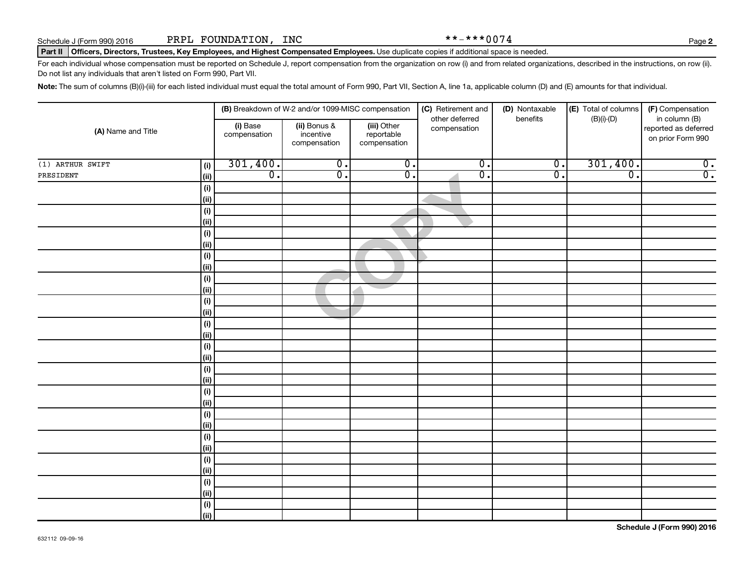**2**

#### Part II | Officers, Directors, Trustees, Key Employees, and Highest Compensated Employees. Use duplicate copies if additional space is needed.

For each individual whose compensation must be reported on Schedule J, report compensation from the organization on row (i) and from related organizations, described in the instructions, on row (ii). Do not list any individuals that aren't listed on Form 990, Part VII.

Note: The sum of columns (B)(i)-(iii) for each listed individual must equal the total amount of Form 990, Part VII, Section A, line 1a, applicable column (D) and (E) amounts for that individual.

|                    |                              |                          | (B) Breakdown of W-2 and/or 1099-MISC compensation |                                           | (C) Retirement and             | (D) Nontaxable              | (E) Total of columns | (F) Compensation                                           |
|--------------------|------------------------------|--------------------------|----------------------------------------------------|-------------------------------------------|--------------------------------|-----------------------------|----------------------|------------------------------------------------------------|
| (A) Name and Title |                              | (i) Base<br>compensation | (ii) Bonus &<br>incentive<br>compensation          | (iii) Other<br>reportable<br>compensation | other deferred<br>compensation | benefits                    | $(B)(i)-(D)$         | in column (B)<br>reported as deferred<br>on prior Form 990 |
| $(1)$ ARTHUR SWIFT | (i)                          | 301,400.                 | $\overline{0}$ .                                   | $\overline{0}$ .                          | $\overline{0}$ .               | $\overline{\mathfrak{o}}$ . | 301,400.             | $\overline{\mathbf{0}}$ .                                  |
| PRESIDENT          | (ii)                         | $\overline{0}$ .         | $\overline{0}$ .                                   | $\overline{0}$ .                          | $\overline{0}$ .               | $\overline{0}$              | $\overline{0}$ .     | $\overline{0}$ .                                           |
|                    | $(\sf{i})$                   |                          |                                                    |                                           |                                |                             |                      |                                                            |
|                    | (ii)                         |                          |                                                    |                                           |                                |                             |                      |                                                            |
|                    | (i)                          |                          |                                                    |                                           |                                |                             |                      |                                                            |
|                    | (ii)                         |                          |                                                    |                                           |                                |                             |                      |                                                            |
|                    | (i)                          |                          |                                                    |                                           |                                |                             |                      |                                                            |
|                    | (ii)                         |                          |                                                    |                                           |                                |                             |                      |                                                            |
|                    | (i)                          |                          |                                                    |                                           |                                |                             |                      |                                                            |
|                    | (ii)                         |                          |                                                    |                                           |                                |                             |                      |                                                            |
|                    | (i)                          |                          |                                                    |                                           |                                |                             |                      |                                                            |
|                    | (ii)                         |                          |                                                    |                                           |                                |                             |                      |                                                            |
|                    | (i)                          |                          |                                                    |                                           |                                |                             |                      |                                                            |
|                    | (ii)                         |                          |                                                    |                                           |                                |                             |                      |                                                            |
|                    | (i)<br>(ii)                  |                          |                                                    |                                           |                                |                             |                      |                                                            |
|                    | (i)                          |                          |                                                    |                                           |                                |                             |                      |                                                            |
|                    | (ii)                         |                          |                                                    |                                           |                                |                             |                      |                                                            |
|                    | (i)                          |                          |                                                    |                                           |                                |                             |                      |                                                            |
|                    | (ii)                         |                          |                                                    |                                           |                                |                             |                      |                                                            |
|                    | (i)                          |                          |                                                    |                                           |                                |                             |                      |                                                            |
|                    | (ii)                         |                          |                                                    |                                           |                                |                             |                      |                                                            |
|                    | (i)                          |                          |                                                    |                                           |                                |                             |                      |                                                            |
|                    | (ii)                         |                          |                                                    |                                           |                                |                             |                      |                                                            |
|                    | (i)                          |                          |                                                    |                                           |                                |                             |                      |                                                            |
|                    | (ii)                         |                          |                                                    |                                           |                                |                             |                      |                                                            |
|                    | (i)                          |                          |                                                    |                                           |                                |                             |                      |                                                            |
|                    | (ii)                         |                          |                                                    |                                           |                                |                             |                      |                                                            |
|                    | (i)                          |                          |                                                    |                                           |                                |                             |                      |                                                            |
|                    | (ii)                         |                          |                                                    |                                           |                                |                             |                      |                                                            |
|                    | $\qquad \qquad \textbf{(i)}$ |                          |                                                    |                                           |                                |                             |                      |                                                            |
|                    | (ii)                         |                          |                                                    |                                           |                                |                             |                      |                                                            |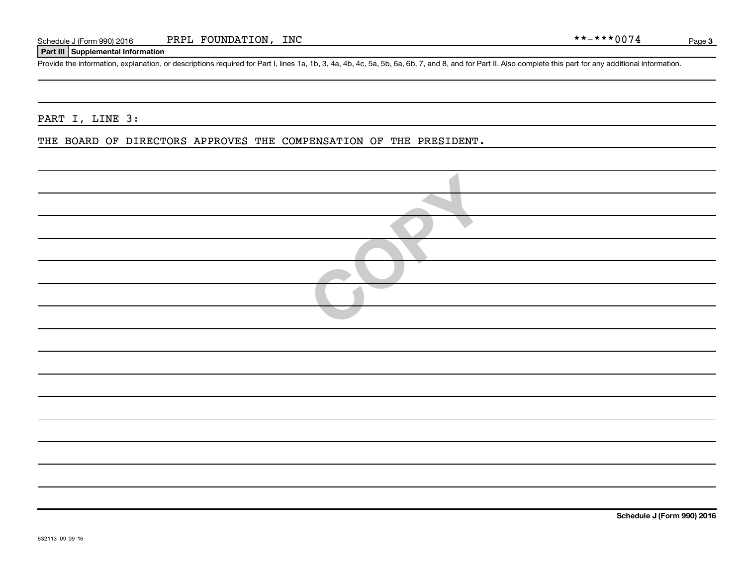#### **Part III Supplemental Information**

Provide the information, explanation, or descriptions required for Part I, lines 1a, 1b, 3, 4a, 4b, 4c, 5a, 5b, 6a, 6b, 7, and 8, and for Part II. Also complete this part for any additional information.

## PART I, LINE 3:

#### THE BOARD OF DIRECTORS APPROVES THE COMPENSATION OF THE PRESIDENT.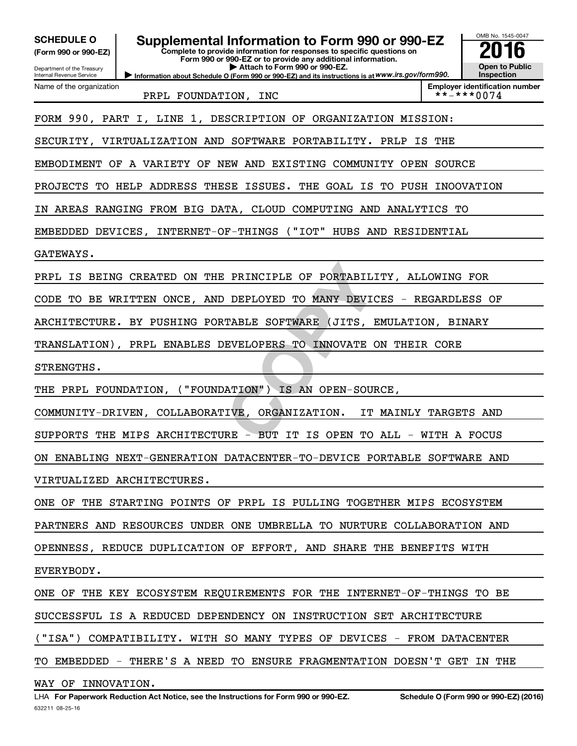| Supplemental Information to Form 990 or 990-EZ<br><b>SCHEDULE O</b><br>Complete to provide information for responses to specific questions on<br>(Form 990 or 990-EZ)<br>Form 990 or 990-EZ or to provide any additional information.<br>Attach to Form 990 or 990-EZ.<br>Department of the Treasury<br>Information about Schedule O (Form 990 or 990-EZ) and its instructions is at WWW.irs.gov/form990.<br>Internal Revenue Service | OMB No. 1545-0047<br><b>Open to Public</b><br>Inspection |  |  |
|---------------------------------------------------------------------------------------------------------------------------------------------------------------------------------------------------------------------------------------------------------------------------------------------------------------------------------------------------------------------------------------------------------------------------------------|----------------------------------------------------------|--|--|
| Name of the organization<br>PRPL FOUNDATION, INC                                                                                                                                                                                                                                                                                                                                                                                      | <b>Employer identification number</b><br>**-***0074      |  |  |
| FORM 990, PART I, LINE 1, DESCRIPTION OF ORGANIZATION MISSION:                                                                                                                                                                                                                                                                                                                                                                        |                                                          |  |  |
| SECURITY, VIRTUALIZATION AND SOFTWARE PORTABILITY. PRLP IS THE                                                                                                                                                                                                                                                                                                                                                                        |                                                          |  |  |
| EMBODIMENT OF A VARIETY OF NEW AND EXISTING COMMUNITY OPEN SOURCE                                                                                                                                                                                                                                                                                                                                                                     |                                                          |  |  |
| PROJECTS TO HELP ADDRESS THESE ISSUES. THE GOAL IS TO PUSH INOOVATION                                                                                                                                                                                                                                                                                                                                                                 |                                                          |  |  |
| IN AREAS RANGING FROM BIG DATA, CLOUD COMPUTING AND ANALYTICS TO                                                                                                                                                                                                                                                                                                                                                                      |                                                          |  |  |
| EMBEDDED DEVICES, INTERNET-OF-THINGS ("IOT" HUBS AND RESIDENTIAL                                                                                                                                                                                                                                                                                                                                                                      |                                                          |  |  |
| GATEWAYS.                                                                                                                                                                                                                                                                                                                                                                                                                             |                                                          |  |  |
| IS BEING CREATED ON THE PRINCIPLE OF PORTABILITY, ALLOWING FOR<br>PRPL                                                                                                                                                                                                                                                                                                                                                                |                                                          |  |  |
| CODE TO BE WRITTEN ONCE, AND DEPLOYED TO MANY DEVICES - REGARDLESS OF                                                                                                                                                                                                                                                                                                                                                                 |                                                          |  |  |
| ARCHITECTURE. BY PUSHING PORTABLE SOFTWARE<br>(JITS, EMULATION, BINARY                                                                                                                                                                                                                                                                                                                                                                |                                                          |  |  |
| TRANSLATION), PRPL ENABLES DEVELOPERS TO INNOVATE ON THEIR CORE                                                                                                                                                                                                                                                                                                                                                                       |                                                          |  |  |
| STRENGTHS.                                                                                                                                                                                                                                                                                                                                                                                                                            |                                                          |  |  |
| THE PRPL FOUNDATION, ("FOUNDATION") IS AN OPEN-SOURCE,                                                                                                                                                                                                                                                                                                                                                                                |                                                          |  |  |
| COMMUNITY-DRIVEN, COLLABORATIVE, ORGANIZATION.<br>IT MAINLY TARGETS AND                                                                                                                                                                                                                                                                                                                                                               |                                                          |  |  |
| SUPPORTS THE MIPS ARCHITECTURE - BUT IT IS OPEN TO ALL - WITH A FOCUS                                                                                                                                                                                                                                                                                                                                                                 |                                                          |  |  |
| ON ENABLING NEXT-GENERATION DATACENTER-TO-DEVICE PORTABLE SOFTWARE AND                                                                                                                                                                                                                                                                                                                                                                |                                                          |  |  |
| VIRTUALIZED ARCHITECTURES.                                                                                                                                                                                                                                                                                                                                                                                                            |                                                          |  |  |
| ONE OF THE STARTING POINTS OF PRPL IS PULLING TOGETHER MIPS ECOSYSTEM                                                                                                                                                                                                                                                                                                                                                                 |                                                          |  |  |
| PARTNERS AND RESOURCES UNDER ONE UMBRELLA TO NURTURE COLLABORATION AND                                                                                                                                                                                                                                                                                                                                                                |                                                          |  |  |
| OPENNESS, REDUCE DUPLICATION OF EFFORT, AND SHARE THE BENEFITS WITH                                                                                                                                                                                                                                                                                                                                                                   |                                                          |  |  |
| EVERYBODY.                                                                                                                                                                                                                                                                                                                                                                                                                            |                                                          |  |  |
| ONE OF THE KEY ECOSYSTEM REQUIREMENTS FOR THE INTERNET-OF-THINGS TO BE                                                                                                                                                                                                                                                                                                                                                                |                                                          |  |  |
| SUCCESSFUL IS A REDUCED DEPENDENCY ON INSTRUCTION SET ARCHITECTURE                                                                                                                                                                                                                                                                                                                                                                    |                                                          |  |  |
| ("ISA") COMPATIBILITY. WITH SO MANY TYPES OF DEVICES - FROM DATACENTER                                                                                                                                                                                                                                                                                                                                                                |                                                          |  |  |
| TO EMBEDDED - THERE'S A NEED TO ENSURE FRAGMENTATION DOESN'T GET IN THE                                                                                                                                                                                                                                                                                                                                                               |                                                          |  |  |
| WAY OF INNOVATION.                                                                                                                                                                                                                                                                                                                                                                                                                    |                                                          |  |  |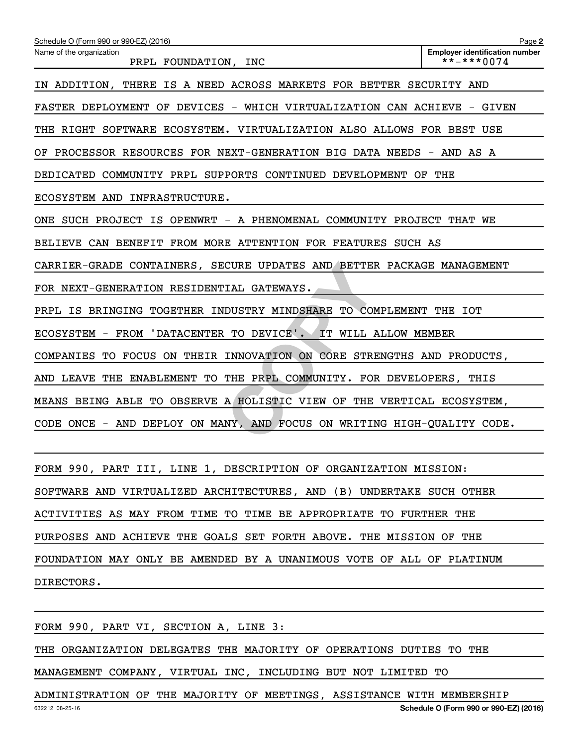| Schedule O (Form 990 or 990-EZ) (2016)                                  | Page 2                                              |
|-------------------------------------------------------------------------|-----------------------------------------------------|
| Name of the organization<br>PRPL FOUNDATION, INC                        | <b>Employer identification number</b><br>**-***0074 |
| IN ADDITION, THERE IS A NEED ACROSS MARKETS FOR BETTER SECURITY AND     |                                                     |
| FASTER DEPLOYMENT OF DEVICES - WHICH VIRTUALIZATION CAN ACHIEVE - GIVEN |                                                     |
| THE RIGHT SOFTWARE ECOSYSTEM. VIRTUALIZATION ALSO ALLOWS FOR BEST USE   |                                                     |
| OF PROCESSOR RESOURCES FOR NEXT-GENERATION BIG DATA NEEDS - AND AS A    |                                                     |
| DEDICATED COMMUNITY PRPL SUPPORTS CONTINUED DEVELOPMENT OF THE          |                                                     |
| ECOSYSTEM AND INFRASTRUCTURE.                                           |                                                     |
| ONE SUCH PROJECT IS OPENWRT - A PHENOMENAL COMMUNITY PROJECT THAT WE    |                                                     |
| BELIEVE CAN BENEFIT FROM MORE ATTENTION FOR FEATURES SUCH AS            |                                                     |
| CARRIER-GRADE CONTAINERS, SECURE UPDATES AND BETTER PACKAGE MANAGEMENT  |                                                     |
| FOR NEXT-GENERATION RESIDENTIAL GATEWAYS.                               |                                                     |
| PRPL IS BRINGING TOGETHER INDUSTRY MINDSHARE TO COMPLEMENT THE IOT      |                                                     |
| ECOSYSTEM - FROM 'DATACENTER TO DEVICE'. IT WILL ALLOW MEMBER           |                                                     |
| COMPANIES TO FOCUS ON THEIR INNOVATION ON CORE STRENGTHS AND PRODUCTS,  |                                                     |
| AND LEAVE THE ENABLEMENT TO THE PRPL COMMUNITY. FOR DEVELOPERS, THIS    |                                                     |
| MEANS BEING ABLE TO OBSERVE A HOLISTIC VIEW OF THE VERTICAL ECOSYSTEM,  |                                                     |
| CODE ONCE - AND DEPLOY ON MANY, AND FOCUS ON WRITING HIGH-QUALITY CODE. |                                                     |
|                                                                         |                                                     |
| FORM 990, PART III, LINE 1, DESCRIPTION OF ORGANIZATION MISSION:        |                                                     |
| SOFTWARE AND VIRTUALIZED ARCHITECTURES, AND (B) UNDERTAKE SUCH OTHER    |                                                     |
| ACTIVITIES AS MAY FROM TIME TO TIME BE APPROPRIATE TO FURTHER THE       |                                                     |
| PURPOSES AND ACHIEVE THE GOALS SET FORTH ABOVE. THE MISSION OF THE      |                                                     |
|                                                                         |                                                     |

FOUNDATION MAY ONLY BE AMENDED BY A UNANIMOUS VOTE OF ALL OF PLATINUM

DIRECTORS.

FORM 990, PART VI, SECTION A, LINE 3:

THE ORGANIZATION DELEGATES THE MAJORITY OF OPERATIONS DUTIES TO THE

MANAGEMENT COMPANY, VIRTUAL INC, INCLUDING BUT NOT LIMITED TO

ADMINISTRATION OF THE MAJORITY OF MEETINGS, ASSISTANCE WITH MEMBERSHIP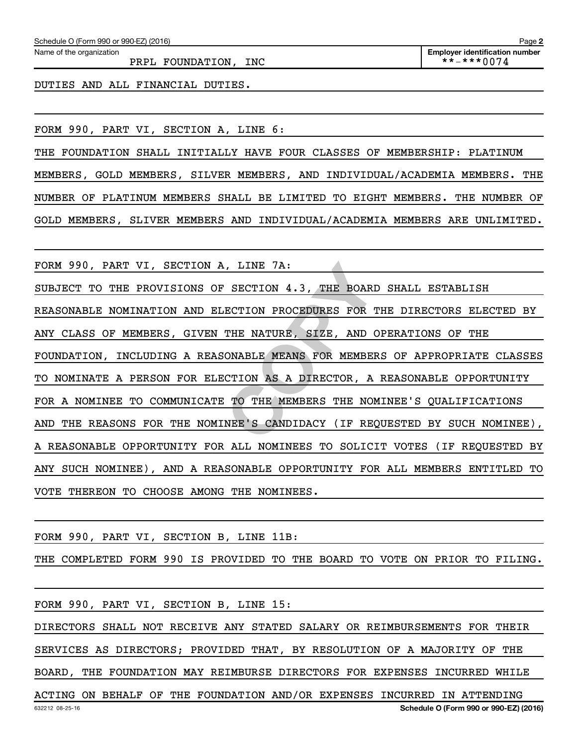PRPL FOUNDATION, INC  $\begin{array}{ccc} & & \text{**--**+0074} \end{array}$ 

DUTIES AND ALL FINANCIAL DUTIES.

FORM 990, PART VI, SECTION A, LINE 6:

THE FOUNDATION SHALL INITIALLY HAVE FOUR CLASSES OF MEMBERSHIP: PLATINUM MEMBERS, GOLD MEMBERS, SILVER MEMBERS, AND INDIVIDUAL/ACADEMIA MEMBERS. THE NUMBER OF PLATINUM MEMBERS SHALL BE LIMITED TO EIGHT MEMBERS. THE NUMBER OF GOLD MEMBERS, SLIVER MEMBERS AND INDIVIDUAL/ACADEMIA MEMBERS ARE UNLIMITED.

FORM 990, PART VI, SECTION A, LINE 7A:

FINE 7A:<br>
SECTION 4.3, THE BOARD SHA<br>
ECTION PROCEDURES FOR THE D<br>
THE NATURE, SIZE, AND OPERA<br>
ONABLE MEANS FOR MEMBERS OF<br>
CTION AS A DIRECTOR, A REAS<br>
TO THE MEMBERS THE NOMINEE<br>
NEE'S CANDIDACY (IF REQUEST<br>
ALLER'S CAN SUBJECT TO THE PROVISIONS OF SECTION 4.3, THE BOARD SHALL ESTABLISH REASONABLE NOMINATION AND ELECTION PROCEDURES FOR THE DIRECTORS ELECTED BY ANY CLASS OF MEMBERS, GIVEN THE NATURE, SIZE, AND OPERATIONS OF THE FOUNDATION, INCLUDING A REASONABLE MEANS FOR MEMBERS OF APPROPRIATE CLASSES TO NOMINATE A PERSON FOR ELECTION AS A DIRECTOR, A REASONABLE OPPORTUNITY FOR A NOMINEE TO COMMUNICATE TO THE MEMBERS THE NOMINEE'S QUALIFICATIONS AND THE REASONS FOR THE NOMINEE'S CANDIDACY (IF REQUESTED BY SUCH NOMINEE), A REASONABLE OPPORTUNITY FOR ALL NOMINEES TO SOLICIT VOTES (IF REQUESTED BY ANY SUCH NOMINEE), AND A REASONABLE OPPORTUNITY FOR ALL MEMBERS ENTITLED TO VOTE THEREON TO CHOOSE AMONG THE NOMINEES.

FORM 990, PART VI, SECTION B, LINE 11B:

THE COMPLETED FORM 990 IS PROVIDED TO THE BOARD TO VOTE ON PRIOR TO FILING.

632212 08-25-16 **Schedule O (Form 990 or 990-EZ) (2016)** FORM 990, PART VI, SECTION B, LINE 15: DIRECTORS SHALL NOT RECEIVE ANY STATED SALARY OR REIMBURSEMENTS FOR THEIR SERVICES AS DIRECTORS; PROVIDED THAT, BY RESOLUTION OF A MAJORITY OF THE BOARD, THE FOUNDATION MAY REIMBURSE DIRECTORS FOR EXPENSES INCURRED WHILE ACTING ON BEHALF OF THE FOUNDATION AND/OR EXPENSES INCURRED IN ATTENDING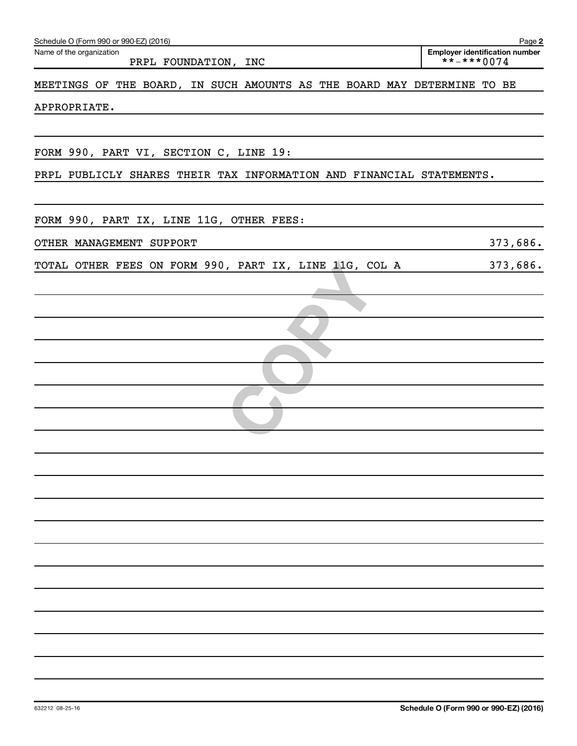| Schedule O (Form 990 or 990-EZ) (2016)                                  | Page 2                                                    |
|-------------------------------------------------------------------------|-----------------------------------------------------------|
| Name of the organization<br>PRPL FOUNDATION, INC                        | <b>Employer identification number</b><br>$***$ + * * 0074 |
| MEETINGS OF THE BOARD, IN SUCH AMOUNTS AS THE BOARD MAY DETERMINE TO BE |                                                           |
| APPROPRIATE.                                                            |                                                           |
|                                                                         |                                                           |
| FORM 990, PART VI, SECTION C, LINE 19:                                  |                                                           |
| PRPL PUBLICLY SHARES THEIR TAX INFORMATION AND FINANCIAL STATEMENTS.    |                                                           |
| FORM 990, PART IX, LINE 11G, OTHER FEES:                                |                                                           |
| OTHER MANAGEMENT SUPPORT                                                | 373,686.                                                  |
| TOTAL OTHER FEES ON FORM 990, PART IX, LINE 11G, COL A                  | 373,686.                                                  |
|                                                                         |                                                           |
|                                                                         |                                                           |
|                                                                         |                                                           |
|                                                                         |                                                           |
|                                                                         |                                                           |
|                                                                         |                                                           |
|                                                                         |                                                           |
|                                                                         |                                                           |
|                                                                         |                                                           |
|                                                                         |                                                           |
|                                                                         |                                                           |
|                                                                         |                                                           |
|                                                                         |                                                           |
|                                                                         |                                                           |
|                                                                         |                                                           |
|                                                                         |                                                           |
|                                                                         |                                                           |
|                                                                         |                                                           |
|                                                                         |                                                           |